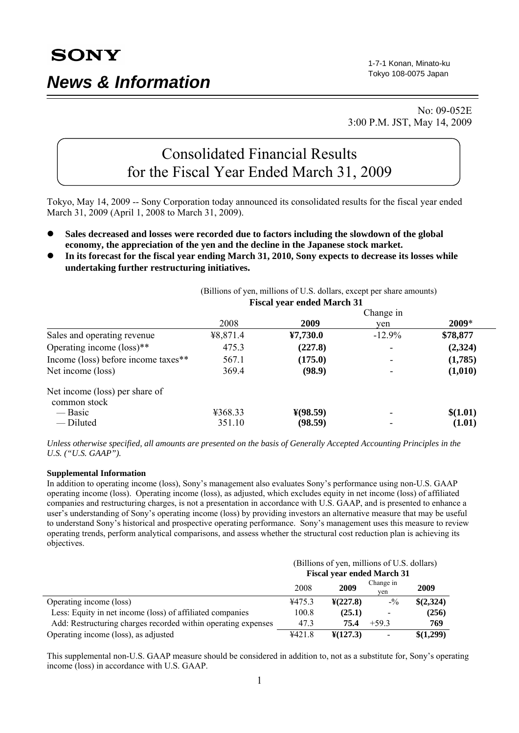# *News & Information*

1-7-1 Konan, Minato-ku Tokyo 108-0075 Japan

 No: 09-052E 3:00 P.M. JST, May 14, 2009

# Consolidated Financial Results for the Fiscal Year Ended March 31, 2009

Tokyo, May 14, 2009 -- Sony Corporation today announced its consolidated results for the fiscal year ended March 31, 2009 (April 1, 2008 to March 31, 2009).

- Sales decreased and losses were recorded due to factors including the slowdown of the global **economy, the appreciation of the yen and the decline in the Japanese stock market.**
- In its forecast for the fiscal year ending March 31, 2010, Sony expects to decrease its losses while **undertaking further restructuring initiatives.**

| <b>Fiscal year ended March 31</b><br>Change in |                      |          |          |
|------------------------------------------------|----------------------|----------|----------|
|                                                |                      |          |          |
| ¥8,871.4                                       | 47,730.0             | $-12.9%$ | \$78,877 |
| 475.3                                          | (227.8)              |          | (2,324)  |
| 567.1                                          | (175.0)              |          | (1,785)  |
| 369.4                                          | (98.9)               |          | (1,010)  |
|                                                |                      |          |          |
| ¥368.33                                        | $\frac{1}{2}(98.59)$ |          | \$(1.01) |
| 351.10                                         | (98.59)              |          | (1.01)   |
|                                                |                      |          |          |

(Billions of yen, millions of U.S. dollars, except per share amounts)

*Unless otherwise specified, all amounts are presented on the basis of Generally Accepted Accounting Principles in the U.S. ("U.S. GAAP").* 

#### **Supplemental Information**

In addition to operating income (loss), Sony's management also evaluates Sony's performance using non-U.S. GAAP operating income (loss). Operating income (loss), as adjusted, which excludes equity in net income (loss) of affiliated companies and restructuring charges, is not a presentation in accordance with U.S. GAAP, and is presented to enhance a user's understanding of Sony's operating income (loss) by providing investors an alternative measure that may be useful to understand Sony's historical and prospective operating performance. Sony's management uses this measure to review operating trends, perform analytical comparisons, and assess whether the structural cost reduction plan is achieving its objectives.

|                                                               | (Billions of yen, millions of U.S. dollars) |                            |                                 |           |
|---------------------------------------------------------------|---------------------------------------------|----------------------------|---------------------------------|-----------|
|                                                               | <b>Fiscal year ended March 31</b>           |                            |                                 |           |
|                                                               | 2008                                        | 2009                       | Change in<br>ven                | 2009      |
| Operating income (loss)                                       | ¥475.3                                      | $\frac{\text{Y}(227.8)}{}$ | $-$ <sup>0</sup> / <sub>0</sub> | \$(2,324) |
| Less: Equity in net income (loss) of affiliated companies     | 100.8                                       | (25.1)                     | -                               | (256)     |
| Add: Restructuring charges recorded within operating expenses | 47.3                                        | 75.4                       | $+593$                          | 769       |
| Operating income (loss), as adjusted                          | 4421.8                                      | $\frac{1}{2}(127.3)$       |                                 | \$(1,299) |

This supplemental non-U.S. GAAP measure should be considered in addition to, not as a substitute for, Sony's operating income (loss) in accordance with U.S. GAAP.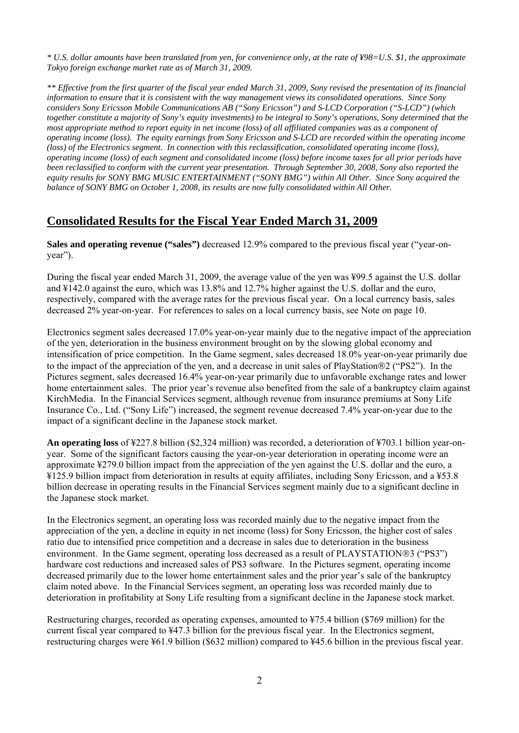*\* U.S. dollar amounts have been translated from yen, for convenience only, at the rate of ¥98=U.S. \$1, the approximate Tokyo foreign exchange market rate as of March 31, 2009.* 

*\*\* Effective from the first quarter of the fiscal year ended March 31, 2009, Sony revised the presentation of its financial information to ensure that it is consistent with the way management views its consolidated operations. Since Sony considers Sony Ericsson Mobile Communications AB ("Sony Ericsson") and S-LCD Corporation ("S-LCD") (which together constitute a majority of Sony's equity investments) to be integral to Sony's operations, Sony determined that the most appropriate method to report equity in net income (loss) of all affiliated companies was as a component of operating income (loss). The equity earnings from Sony Ericsson and S-LCD are recorded within the operating income (loss) of the Electronics segment. In connection with this reclassification, consolidated operating income (loss), operating income (loss) of each segment and consolidated income (loss) before income taxes for all prior periods have been reclassified to conform with the current year presentation. Through September 30, 2008, Sony also reported the equity results for SONY BMG MUSIC ENTERTAINMENT ("SONY BMG") within All Other. Since Sony acquired the balance of SONY BMG on October 1, 2008, its results are now fully consolidated within All Other.* 

## **Consolidated Results for the Fiscal Year Ended March 31, 2009**

**Sales and operating revenue ("sales")** decreased 12.9% compared to the previous fiscal year ("year-onyear").

During the fiscal year ended March 31, 2009, the average value of the yen was ¥99.5 against the U.S. dollar and ¥142.0 against the euro, which was 13.8% and 12.7% higher against the U.S. dollar and the euro, respectively, compared with the average rates for the previous fiscal year. On a local currency basis, sales decreased 2% year-on-year. For references to sales on a local currency basis, see Note on page 10.

Electronics segment sales decreased 17.0% year-on-year mainly due to the negative impact of the appreciation of the yen, deterioration in the business environment brought on by the slowing global economy and intensification of price competition. In the Game segment, sales decreased 18.0% year-on-year primarily due to the impact of the appreciation of the yen, and a decrease in unit sales of PlayStation®2 ("PS2"). In the Pictures segment, sales decreased 16.4% year-on-year primarily due to unfavorable exchange rates and lower home entertainment sales. The prior year's revenue also benefited from the sale of a bankruptcy claim against KirchMedia. In the Financial Services segment, although revenue from insurance premiums at Sony Life Insurance Co., Ltd. ("Sony Life") increased, the segment revenue decreased 7.4% year-on-year due to the impact of a significant decline in the Japanese stock market.

**An operating loss** of ¥227.8 billion (\$2,324 million) was recorded, a deterioration of ¥703.1 billion year-onyear. Some of the significant factors causing the year-on-year deterioration in operating income were an approximate ¥279.0 billion impact from the appreciation of the yen against the U.S. dollar and the euro, a ¥125.9 billion impact from deterioration in results at equity affiliates, including Sony Ericsson, and a ¥53.8 billion decrease in operating results in the Financial Services segment mainly due to a significant decline in the Japanese stock market.

In the Electronics segment, an operating loss was recorded mainly due to the negative impact from the appreciation of the yen, a decline in equity in net income (loss) for Sony Ericsson, the higher cost of sales ratio due to intensified price competition and a decrease in sales due to deterioration in the business environment. In the Game segment, operating loss decreased as a result of PLAYSTATION®3 ("PS3") hardware cost reductions and increased sales of PS3 software. In the Pictures segment, operating income decreased primarily due to the lower home entertainment sales and the prior year's sale of the bankruptcy claim noted above. In the Financial Services segment, an operating loss was recorded mainly due to deterioration in profitability at Sony Life resulting from a significant decline in the Japanese stock market.

Restructuring charges, recorded as operating expenses, amounted to ¥75.4 billion (\$769 million) for the current fiscal year compared to ¥47.3 billion for the previous fiscal year. In the Electronics segment, restructuring charges were ¥61.9 billion (\$632 million) compared to ¥45.6 billion in the previous fiscal year.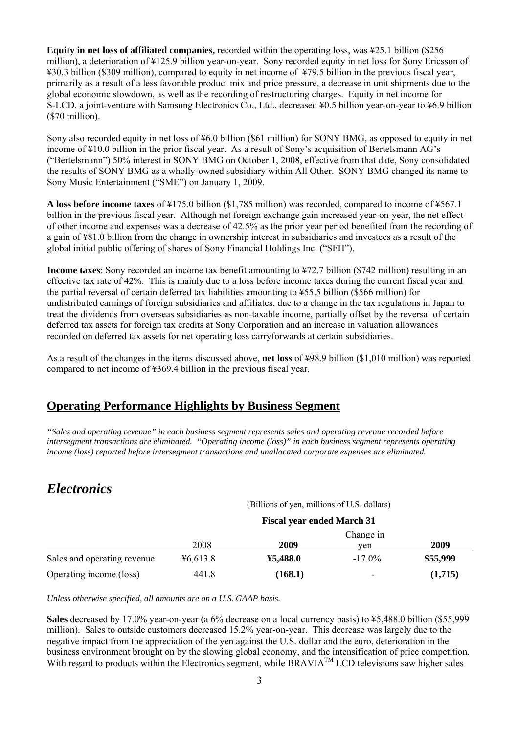**Equity in net loss of affiliated companies,** recorded within the operating loss, was ¥25.1 billion (\$256 million), a deterioration of ¥125.9 billion year-on-year. Sony recorded equity in net loss for Sony Ericsson of ¥30.3 billion (\$309 million), compared to equity in net income of ¥79.5 billion in the previous fiscal year, primarily as a result of a less favorable product mix and price pressure, a decrease in unit shipments due to the global economic slowdown, as well as the recording of restructuring charges. Equity in net income for S-LCD, a joint-venture with Samsung Electronics Co., Ltd., decreased ¥0.5 billion year-on-year to ¥6.9 billion (\$70 million).

Sony also recorded equity in net loss of ¥6.0 billion (\$61 million) for SONY BMG, as opposed to equity in net income of ¥10.0 billion in the prior fiscal year. As a result of Sony's acquisition of Bertelsmann AG's ("Bertelsmann") 50% interest in SONY BMG on October 1, 2008, effective from that date, Sony consolidated the results of SONY BMG as a wholly-owned subsidiary within All Other. SONY BMG changed its name to Sony Music Entertainment ("SME") on January 1, 2009.

**A loss before income taxes** of ¥175.0 billion (\$1,785 million) was recorded, compared to income of ¥567.1 billion in the previous fiscal year. Although net foreign exchange gain increased year-on-year, the net effect of other income and expenses was a decrease of 42.5% as the prior year period benefited from the recording of a gain of ¥81.0 billion from the change in ownership interest in subsidiaries and investees as a result of the global initial public offering of shares of Sony Financial Holdings Inc. ("SFH").

**Income taxes**: Sony recorded an income tax benefit amounting to ¥72.7 billion (\$742 million) resulting in an effective tax rate of 42%. This is mainly due to a loss before income taxes during the current fiscal year and the partial reversal of certain deferred tax liabilities amounting to ¥55.5 billion (\$566 million) for undistributed earnings of foreign subsidiaries and affiliates, due to a change in the tax regulations in Japan to treat the dividends from overseas subsidiaries as non-taxable income, partially offset by the reversal of certain deferred tax assets for foreign tax credits at Sony Corporation and an increase in valuation allowances recorded on deferred tax assets for net operating loss carryforwards at certain subsidiaries.

As a result of the changes in the items discussed above, **net loss** of ¥98.9 billion (\$1,010 million) was reported compared to net income of ¥369.4 billion in the previous fiscal year.

## **Operating Performance Highlights by Business Segment**

*"Sales and operating revenue" in each business segment represents sales and operating revenue recorded before intersegment transactions are eliminated. "Operating income (loss)" in each business segment represents operating income (loss) reported before intersegment transactions and unallocated corporate expenses are eliminated.* 

## *Electronics*

(Billions of yen, millions of U.S. dollars)

|                             |          |          | Change in                |          |  |
|-----------------------------|----------|----------|--------------------------|----------|--|
|                             | 2008     | 2009     | ven                      | 2009     |  |
| Sales and operating revenue | 46,613.8 | ¥5,488.0 | $-17.0\%$                | \$55,999 |  |
| Operating income (loss)     | 441.8    | (168.1)  | $\overline{\phantom{a}}$ | (1,715)  |  |

*Unless otherwise specified, all amounts are on a U.S. GAAP basis.* 

**Sales** decreased by 17.0% year-on-year (a 6% decrease on a local currency basis) to ¥5,488.0 billion (\$55,999 million). Sales to outside customers decreased 15.2% year-on-year. This decrease was largely due to the negative impact from the appreciation of the yen against the U.S. dollar and the euro, deterioration in the business environment brought on by the slowing global economy, and the intensification of price competition. With regard to products within the Electronics segment, while BRAVIA<sup>TM</sup> LCD televisions saw higher sales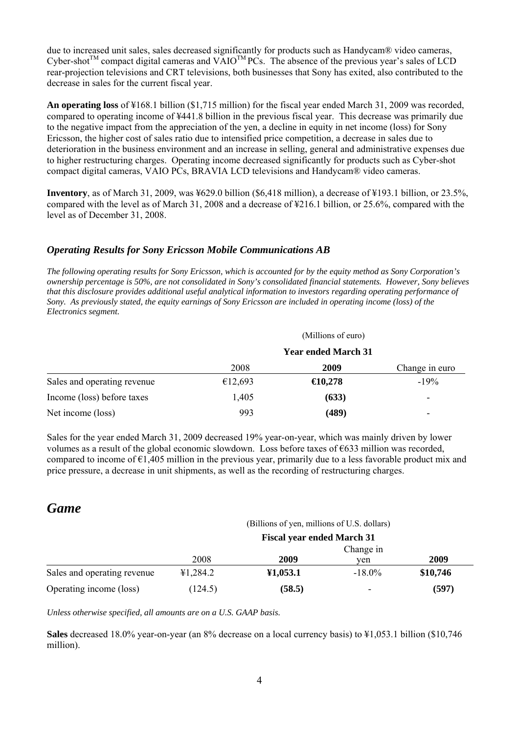due to increased unit sales, sales decreased significantly for products such as Handycam® video cameras,  $Cyber-shot^{TM}$  compact digital cameras and  $VAIO^{TM}PCs$ . The absence of the previous year's sales of LCD rear-projection televisions and CRT televisions, both businesses that Sony has exited, also contributed to the decrease in sales for the current fiscal year.

**An operating loss** of ¥168.1 billion (\$1,715 million) for the fiscal year ended March 31, 2009 was recorded, compared to operating income of ¥441.8 billion in the previous fiscal year. This decrease was primarily due to the negative impact from the appreciation of the yen, a decline in equity in net income (loss) for Sony Ericsson, the higher cost of sales ratio due to intensified price competition, a decrease in sales due to deterioration in the business environment and an increase in selling, general and administrative expenses due to higher restructuring charges. Operating income decreased significantly for products such as Cyber-shot compact digital cameras, VAIO PCs, BRAVIA LCD televisions and Handycam® video cameras.

**Inventory**, as of March 31, 2009, was ¥629.0 billion (\$6,418 million), a decrease of ¥193.1 billion, or 23.5%, compared with the level as of March 31, 2008 and a decrease of ¥216.1 billion, or 25.6%, compared with the level as of December 31, 2008.

#### *Operating Results for Sony Ericsson Mobile Communications AB*

*The following operating results for Sony Ericsson, which is accounted for by the equity method as Sony Corporation's ownership percentage is 50%, are not consolidated in Sony's consolidated financial statements. However, Sony believes that this disclosure provides additional useful analytical information to investors regarding operating performance of Sony. As previously stated, the equity earnings of Sony Ericsson are included in operating income (loss) of the Electronics segment.* 

|                             |                            | (Millions of euro) |                |  |
|-----------------------------|----------------------------|--------------------|----------------|--|
|                             | <b>Year ended March 31</b> |                    |                |  |
|                             | 2008                       | 2009               | Change in euro |  |
| Sales and operating revenue | €12,693                    | $\bigoplus$ 0,278  | $-19%$         |  |
| Income (loss) before taxes  | 1,405                      | (633)              |                |  |
| Net income (loss)           | 993                        | (489)              | -              |  |

Sales for the year ended March 31, 2009 decreased 19% year-on-year, which was mainly driven by lower volumes as a result of the global economic slowdown. Loss before taxes of  $\epsilon$ 633 million was recorded, compared to income of  $\epsilon$ 1,405 million in the previous year, primarily due to a less favorable product mix and price pressure, a decrease in unit shipments, as well as the recording of restructuring charges.

## *Game*

#### (Billions of yen, millions of U.S. dollars)

|                             | <b>Fiscal year ended March 31</b> |          |                          |          |  |
|-----------------------------|-----------------------------------|----------|--------------------------|----------|--|
|                             | Change in                         |          |                          |          |  |
|                             | 2008                              | 2009     | ven                      | 2009     |  |
| Sales and operating revenue | 41,284.2                          | 41,053.1 | $-18.0\%$                | \$10,746 |  |
| Operating income (loss)     | (124.5)                           | (58.5)   | $\overline{\phantom{a}}$ | (597)    |  |

*Unless otherwise specified, all amounts are on a U.S. GAAP basis.* 

**Sales** decreased 18.0% year-on-year (an 8% decrease on a local currency basis) to ¥1,053.1 billion (\$10,746 million).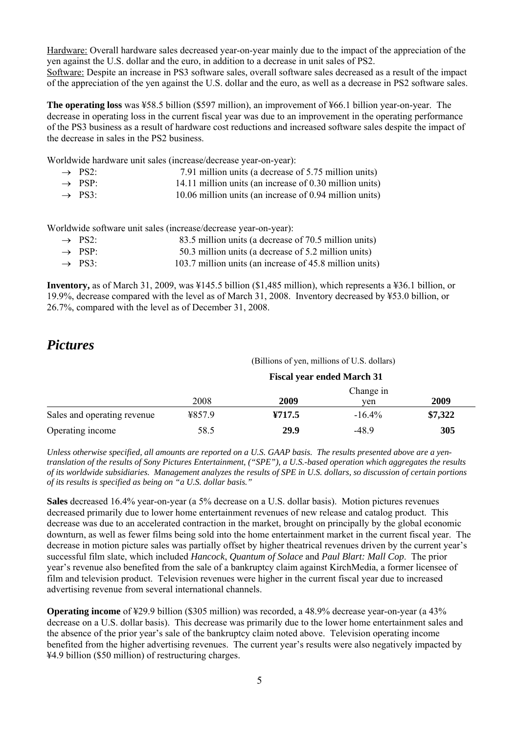Hardware: Overall hardware sales decreased year-on-year mainly due to the impact of the appreciation of the yen against the U.S. dollar and the euro, in addition to a decrease in unit sales of PS2. Software: Despite an increase in PS3 software sales, overall software sales decreased as a result of the impact of the appreciation of the yen against the U.S. dollar and the euro, as well as a decrease in PS2 software sales.

**The operating loss** was ¥58.5 billion (\$597 million), an improvement of ¥66.1 billion year-on-year. The decrease in operating loss in the current fiscal year was due to an improvement in the operating performance of the PS3 business as a result of hardware cost reductions and increased software sales despite the impact of the decrease in sales in the PS2 business.

Worldwide hardware unit sales (increase/decrease year-on-year):

| $\rightarrow$ PS2: | 7.91 million units (a decrease of 5.75 million units)   |
|--------------------|---------------------------------------------------------|
| $\rightarrow$ PSP: | 14.11 million units (an increase of 0.30 million units) |
| $\rightarrow$ PS3: | 10.06 million units (an increase of 0.94 million units) |

Worldwide software unit sales (increase/decrease year-on-year):

| $\rightarrow$ PS2: | 83.5 million units (a decrease of 70.5 million units) |
|--------------------|-------------------------------------------------------|
|--------------------|-------------------------------------------------------|

- $\rightarrow$  PSP: 50.3 million units (a decrease of 5.2 million units)
- $\rightarrow$  PS3: 103.7 million units (an increase of 45.8 million units)

**Inventory,** as of March 31, 2009, was ¥145.5 billion (\$1,485 million), which represents a ¥36.1 billion, or 19.9%, decrease compared with the level as of March 31, 2008. Inventory decreased by ¥53.0 billion, or 26.7%, compared with the level as of December 31, 2008.

## *Pictures*

(Billions of yen, millions of U.S. dollars)

|                             | <b>Fiscal year ended March 31</b> |        |           |         |  |  |
|-----------------------------|-----------------------------------|--------|-----------|---------|--|--|
|                             |                                   |        | Change in |         |  |  |
|                             | 2008                              | 2009   | ven       | 2009    |  |  |
| Sales and operating revenue | 4857.9                            | Y717.5 | $-16.4\%$ | \$7,322 |  |  |
| Operating income            | 58.5                              | 29.9   | $-48.9$   | 305     |  |  |

*Unless otherwise specified, all amounts are reported on a U.S. GAAP basis. The results presented above are a yentranslation of the results of Sony Pictures Entertainment, ("SPE"), a U.S.-based operation which aggregates the results of its worldwide subsidiaries. Management analyzes the results of SPE in U.S. dollars, so discussion of certain portions of its results is specified as being on "a U.S. dollar basis."* 

**Sales** decreased 16.4% year-on-year (a 5% decrease on a U.S. dollar basis). Motion pictures revenues decreased primarily due to lower home entertainment revenues of new release and catalog product. This decrease was due to an accelerated contraction in the market, brought on principally by the global economic downturn, as well as fewer films being sold into the home entertainment market in the current fiscal year. The decrease in motion picture sales was partially offset by higher theatrical revenues driven by the current year's successful film slate, which included *Hancock*, *Quantum of Solace* and *Paul Blart: Mall Cop*. The prior year's revenue also benefited from the sale of a bankruptcy claim against KirchMedia, a former licensee of film and television product. Television revenues were higher in the current fiscal year due to increased advertising revenue from several international channels.

**Operating income** of ¥29.9 billion (\$305 million) was recorded, a 48.9% decrease year-on-year (a 43% decrease on a U.S. dollar basis). This decrease was primarily due to the lower home entertainment sales and the absence of the prior year's sale of the bankruptcy claim noted above. Television operating income benefited from the higher advertising revenues. The current year's results were also negatively impacted by ¥4.9 billion (\$50 million) of restructuring charges.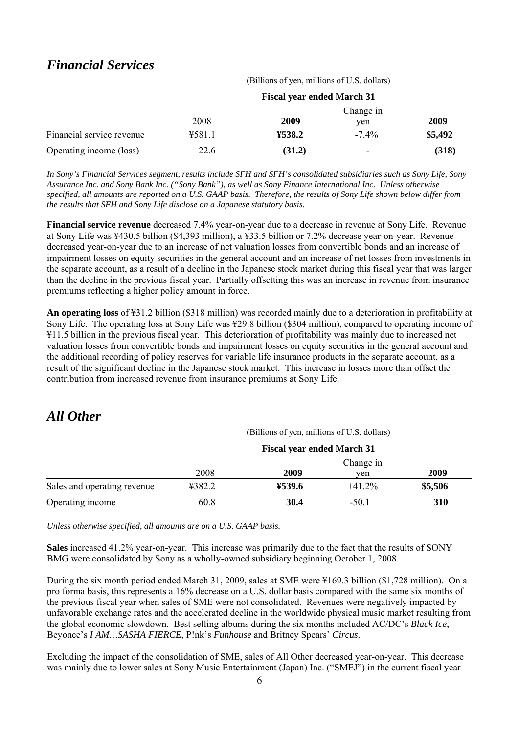## *Financial Services*

(Billions of yen, millions of U.S. dollars)

|                           |        | <b>Fiscal year ended March 31</b> |           |         |  |
|---------------------------|--------|-----------------------------------|-----------|---------|--|
|                           |        |                                   | Change in |         |  |
|                           | 2008   | 2009                              | ven       | 2009    |  |
| Financial service revenue | 4581.1 | ¥538.2                            | $-7.4\%$  | \$5,492 |  |
| Operating income (loss)   | 22.6   | (31.2)                            | ۰         | (318)   |  |

*In Sony's Financial Services segment, results include SFH and SFH's consolidated subsidiaries such as Sony Life, Sony Assurance Inc. and Sony Bank Inc. ("Sony Bank"), as well as Sony Finance International Inc. Unless otherwise specified, all amounts are reported on a U.S. GAAP basis. Therefore, the results of Sony Life shown below differ from the results that SFH and Sony Life disclose on a Japanese statutory basis.* 

**Financial service revenue** decreased 7.4% year-on-year due to a decrease in revenue at Sony Life. Revenue at Sony Life was ¥430.5 billion (\$4,393 million), a ¥33.5 billion or 7.2% decrease year-on-year. Revenue decreased year-on-year due to an increase of net valuation losses from convertible bonds and an increase of impairment losses on equity securities in the general account and an increase of net losses from investments in the separate account, as a result of a decline in the Japanese stock market during this fiscal year that was larger than the decline in the previous fiscal year. Partially offsetting this was an increase in revenue from insurance premiums reflecting a higher policy amount in force.

**An operating loss** of ¥31.2 billion (\$318 million) was recorded mainly due to a deterioration in profitability at Sony Life. The operating loss at Sony Life was ¥29.8 billion (\$304 million), compared to operating income of ¥11.5 billion in the previous fiscal year. This deterioration of profitability was mainly due to increased net valuation losses from convertible bonds and impairment losses on equity securities in the general account and the additional recording of policy reserves for variable life insurance products in the separate account, as a result of the significant decline in the Japanese stock market. This increase in losses more than offset the contribution from increased revenue from insurance premiums at Sony Life.

## *All Other*

(Billions of yen, millions of U.S. dollars)

|                             | <b>Fiscal year ended March 31</b> |        |           |         |  |  |
|-----------------------------|-----------------------------------|--------|-----------|---------|--|--|
|                             |                                   |        | Change in |         |  |  |
|                             | 2008                              | 2009   | ven       | 2009    |  |  |
| Sales and operating revenue | ¥382.2                            | ¥539.6 | $+41.2\%$ | \$5,506 |  |  |
| Operating income            | 60.8                              | 30.4   | $-50.1$   | 310     |  |  |

*Unless otherwise specified, all amounts are on a U.S. GAAP basis.* 

**Sales** increased 41.2% year-on-year. This increase was primarily due to the fact that the results of SONY BMG were consolidated by Sony as a wholly-owned subsidiary beginning October 1, 2008.

During the six month period ended March 31, 2009, sales at SME were ¥169.3 billion (\$1,728 million). On a pro forma basis, this represents a 16% decrease on a U.S. dollar basis compared with the same six months of the previous fiscal year when sales of SME were not consolidated. Revenues were negatively impacted by unfavorable exchange rates and the accelerated decline in the worldwide physical music market resulting from the global economic slowdown. Best selling albums during the six months included AC/DC's *Black Ice*, Beyonce's *I AM…SASHA FIERCE*, P!nk's *Funhouse* and Britney Spears' *Circus*.

Excluding the impact of the consolidation of SME, sales of All Other decreased year-on-year. This decrease was mainly due to lower sales at Sony Music Entertainment (Japan) Inc. ("SMEJ") in the current fiscal year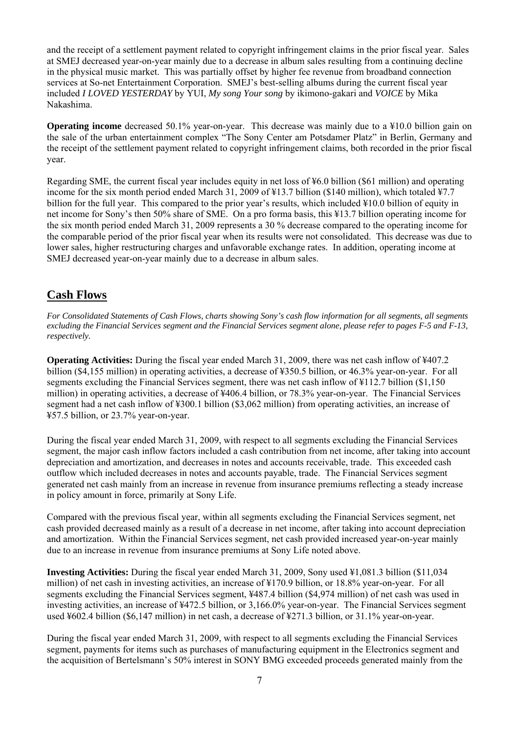and the receipt of a settlement payment related to copyright infringement claims in the prior fiscal year. Sales at SMEJ decreased year-on-year mainly due to a decrease in album sales resulting from a continuing decline in the physical music market. This was partially offset by higher fee revenue from broadband connection services at So-net Entertainment Corporation. SMEJ's best-selling albums during the current fiscal year included *I LOVED YESTERDAY* by YUI, *My song Your song* by ikimono-gakari and *VOICE* by Mika Nakashima.

**Operating income** decreased 50.1% year-on-year. This decrease was mainly due to a ¥10.0 billion gain on the sale of the urban entertainment complex "The Sony Center am Potsdamer Platz" in Berlin, Germany and the receipt of the settlement payment related to copyright infringement claims, both recorded in the prior fiscal year.

Regarding SME, the current fiscal year includes equity in net loss of ¥6.0 billion (\$61 million) and operating income for the six month period ended March 31, 2009 of ¥13.7 billion (\$140 million), which totaled ¥7.7 billion for the full year. This compared to the prior year's results, which included ¥10.0 billion of equity in net income for Sony's then 50% share of SME. On a pro forma basis, this ¥13.7 billion operating income for the six month period ended March 31, 2009 represents a 30 % decrease compared to the operating income for the comparable period of the prior fiscal year when its results were not consolidated. This decrease was due to lower sales, higher restructuring charges and unfavorable exchange rates. In addition, operating income at SMEJ decreased year-on-year mainly due to a decrease in album sales.

## **Cash Flows**

*For Consolidated Statements of Cash Flows, charts showing Sony's cash flow information for all segments, all segments excluding the Financial Services segment and the Financial Services segment alone, please refer to pages F-5 and F-13, respectively.* 

**Operating Activities:** During the fiscal year ended March 31, 2009, there was net cash inflow of ¥407.2 billion (\$4,155 million) in operating activities, a decrease of ¥350.5 billion, or 46.3% year-on-year. For all segments excluding the Financial Services segment, there was net cash inflow of ¥112.7 billion (\$1,150) million) in operating activities, a decrease of ¥406.4 billion, or 78.3% year-on-year. The Financial Services segment had a net cash inflow of ¥300.1 billion (\$3,062 million) from operating activities, an increase of ¥57.5 billion, or 23.7% year-on-year.

During the fiscal year ended March 31, 2009, with respect to all segments excluding the Financial Services segment, the major cash inflow factors included a cash contribution from net income, after taking into account depreciation and amortization, and decreases in notes and accounts receivable, trade. This exceeded cash outflow which included decreases in notes and accounts payable, trade. The Financial Services segment generated net cash mainly from an increase in revenue from insurance premiums reflecting a steady increase in policy amount in force, primarily at Sony Life.

Compared with the previous fiscal year, within all segments excluding the Financial Services segment, net cash provided decreased mainly as a result of a decrease in net income, after taking into account depreciation and amortization. Within the Financial Services segment, net cash provided increased year-on-year mainly due to an increase in revenue from insurance premiums at Sony Life noted above.

**Investing Activities:** During the fiscal year ended March 31, 2009, Sony used ¥1,081.3 billion (\$11,034 million) of net cash in investing activities, an increase of ¥170.9 billion, or 18.8% year-on-year. For all segments excluding the Financial Services segment, ¥487.4 billion (\$4,974 million) of net cash was used in investing activities, an increase of ¥472.5 billion, or 3,166.0% year-on-year. The Financial Services segment used ¥602.4 billion (\$6,147 million) in net cash, a decrease of ¥271.3 billion, or 31.1% year-on-year.

During the fiscal year ended March 31, 2009, with respect to all segments excluding the Financial Services segment, payments for items such as purchases of manufacturing equipment in the Electronics segment and the acquisition of Bertelsmann's 50% interest in SONY BMG exceeded proceeds generated mainly from the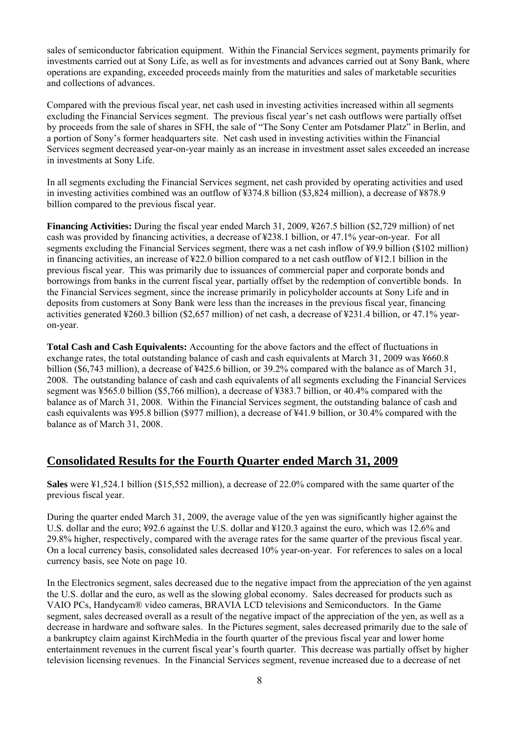sales of semiconductor fabrication equipment. Within the Financial Services segment, payments primarily for investments carried out at Sony Life, as well as for investments and advances carried out at Sony Bank, where operations are expanding, exceeded proceeds mainly from the maturities and sales of marketable securities and collections of advances.

Compared with the previous fiscal year, net cash used in investing activities increased within all segments excluding the Financial Services segment. The previous fiscal year's net cash outflows were partially offset by proceeds from the sale of shares in SFH, the sale of "The Sony Center am Potsdamer Platz" in Berlin, and a portion of Sony's former headquarters site. Net cash used in investing activities within the Financial Services segment decreased year-on-year mainly as an increase in investment asset sales exceeded an increase in investments at Sony Life.

In all segments excluding the Financial Services segment, net cash provided by operating activities and used in investing activities combined was an outflow of ¥374.8 billion (\$3,824 million), a decrease of ¥878.9 billion compared to the previous fiscal year.

**Financing Activities:** During the fiscal year ended March 31, 2009, ¥267.5 billion (\$2,729 million) of net cash was provided by financing activities, a decrease of ¥238.1 billion, or 47.1% year-on-year. For all segments excluding the Financial Services segment, there was a net cash inflow of ¥9.9 billion (\$102 million) in financing activities, an increase of ¥22.0 billion compared to a net cash outflow of ¥12.1 billion in the previous fiscal year. This was primarily due to issuances of commercial paper and corporate bonds and borrowings from banks in the current fiscal year, partially offset by the redemption of convertible bonds. In the Financial Services segment, since the increase primarily in policyholder accounts at Sony Life and in deposits from customers at Sony Bank were less than the increases in the previous fiscal year, financing activities generated ¥260.3 billion (\$2,657 million) of net cash, a decrease of ¥231.4 billion, or 47.1% yearon-year.

**Total Cash and Cash Equivalents:** Accounting for the above factors and the effect of fluctuations in exchange rates, the total outstanding balance of cash and cash equivalents at March 31, 2009 was ¥660.8 billion (\$6,743 million), a decrease of ¥425.6 billion, or 39.2% compared with the balance as of March 31, 2008. The outstanding balance of cash and cash equivalents of all segments excluding the Financial Services segment was ¥565.0 billion (\$5,766 million), a decrease of ¥383.7 billion, or 40.4% compared with the balance as of March 31, 2008. Within the Financial Services segment, the outstanding balance of cash and cash equivalents was ¥95.8 billion (\$977 million), a decrease of ¥41.9 billion, or 30.4% compared with the balance as of March 31, 2008.

## **Consolidated Results for the Fourth Quarter ended March 31, 2009**

**Sales** were ¥1,524.1 billion (\$15,552 million), a decrease of 22.0% compared with the same quarter of the previous fiscal year.

During the quarter ended March 31, 2009, the average value of the yen was significantly higher against the U.S. dollar and the euro; ¥92.6 against the U.S. dollar and ¥120.3 against the euro, which was 12.6% and 29.8% higher, respectively, compared with the average rates for the same quarter of the previous fiscal year. On a local currency basis, consolidated sales decreased 10% year-on-year. For references to sales on a local currency basis, see Note on page 10.

In the Electronics segment, sales decreased due to the negative impact from the appreciation of the yen against the U.S. dollar and the euro, as well as the slowing global economy. Sales decreased for products such as VAIO PCs, Handycam® video cameras, BRAVIA LCD televisions and Semiconductors. In the Game segment, sales decreased overall as a result of the negative impact of the appreciation of the yen, as well as a decrease in hardware and software sales. In the Pictures segment, sales decreased primarily due to the sale of a bankruptcy claim against KirchMedia in the fourth quarter of the previous fiscal year and lower home entertainment revenues in the current fiscal year's fourth quarter. This decrease was partially offset by higher television licensing revenues. In the Financial Services segment, revenue increased due to a decrease of net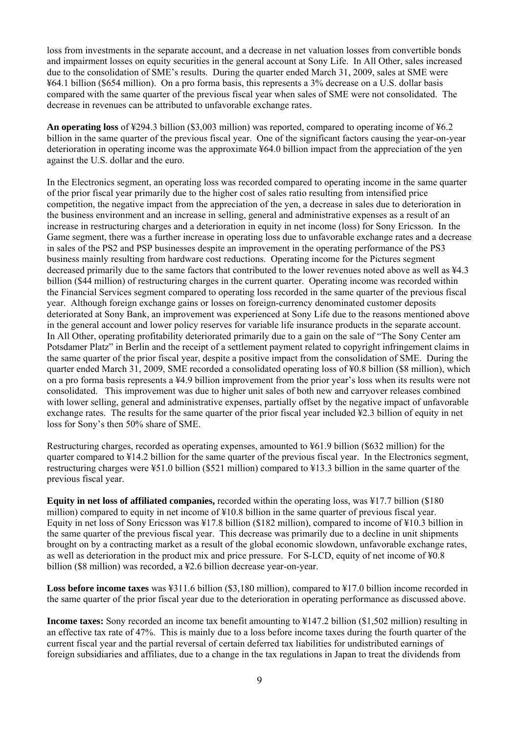loss from investments in the separate account, and a decrease in net valuation losses from convertible bonds and impairment losses on equity securities in the general account at Sony Life. In All Other, sales increased due to the consolidation of SME's results. During the quarter ended March 31, 2009, sales at SME were ¥64.1 billion (\$654 million). On a pro forma basis, this represents a 3% decrease on a U.S. dollar basis compared with the same quarter of the previous fiscal year when sales of SME were not consolidated. The decrease in revenues can be attributed to unfavorable exchange rates.

**An operating loss** of ¥294.3 billion (\$3,003 million) was reported, compared to operating income of ¥6.2 billion in the same quarter of the previous fiscal year. One of the significant factors causing the year-on-year deterioration in operating income was the approximate ¥64.0 billion impact from the appreciation of the yen against the U.S. dollar and the euro.

In the Electronics segment, an operating loss was recorded compared to operating income in the same quarter of the prior fiscal year primarily due to the higher cost of sales ratio resulting from intensified price competition, the negative impact from the appreciation of the yen, a decrease in sales due to deterioration in the business environment and an increase in selling, general and administrative expenses as a result of an increase in restructuring charges and a deterioration in equity in net income (loss) for Sony Ericsson. In the Game segment, there was a further increase in operating loss due to unfavorable exchange rates and a decrease in sales of the PS2 and PSP businesses despite an improvement in the operating performance of the PS3 business mainly resulting from hardware cost reductions. Operating income for the Pictures segment decreased primarily due to the same factors that contributed to the lower revenues noted above as well as ¥4.3 billion (\$44 million) of restructuring charges in the current quarter. Operating income was recorded within the Financial Services segment compared to operating loss recorded in the same quarter of the previous fiscal year. Although foreign exchange gains or losses on foreign-currency denominated customer deposits deteriorated at Sony Bank, an improvement was experienced at Sony Life due to the reasons mentioned above in the general account and lower policy reserves for variable life insurance products in the separate account. In All Other, operating profitability deteriorated primarily due to a gain on the sale of "The Sony Center am Potsdamer Platz" in Berlin and the receipt of a settlement payment related to copyright infringement claims in the same quarter of the prior fiscal year, despite a positive impact from the consolidation of SME. During the quarter ended March 31, 2009, SME recorded a consolidated operating loss of ¥0.8 billion (\$8 million), which on a pro forma basis represents a ¥4.9 billion improvement from the prior year's loss when its results were not consolidated. This improvement was due to higher unit sales of both new and carryover releases combined with lower selling, general and administrative expenses, partially offset by the negative impact of unfavorable exchange rates. The results for the same quarter of the prior fiscal year included ¥2.3 billion of equity in net loss for Sony's then 50% share of SME.

Restructuring charges, recorded as operating expenses, amounted to ¥61.9 billion (\$632 million) for the quarter compared to ¥14.2 billion for the same quarter of the previous fiscal year. In the Electronics segment, restructuring charges were ¥51.0 billion (\$521 million) compared to ¥13.3 billion in the same quarter of the previous fiscal year.

**Equity in net loss of affiliated companies,** recorded within the operating loss, was ¥17.7 billion (\$180) million) compared to equity in net income of ¥10.8 billion in the same quarter of previous fiscal year. Equity in net loss of Sony Ericsson was  $\frac{17.8 \text{ billion}}{100}$  (\$182 million), compared to income of  $\frac{10.3 \text{ billion}}{100}$  in the same quarter of the previous fiscal year. This decrease was primarily due to a decline in unit shipments brought on by a contracting market as a result of the global economic slowdown, unfavorable exchange rates, as well as deterioration in the product mix and price pressure. For S-LCD, equity of net income of ¥0.8 billion (\$8 million) was recorded, a ¥2.6 billion decrease year-on-year.

**Loss before income taxes** was ¥311.6 billion (\$3,180 million), compared to ¥17.0 billion income recorded in the same quarter of the prior fiscal year due to the deterioration in operating performance as discussed above.

**Income taxes:** Sony recorded an income tax benefit amounting to ¥147.2 billion (\$1,502 million) resulting in an effective tax rate of 47%. This is mainly due to a loss before income taxes during the fourth quarter of the current fiscal year and the partial reversal of certain deferred tax liabilities for undistributed earnings of foreign subsidiaries and affiliates, due to a change in the tax regulations in Japan to treat the dividends from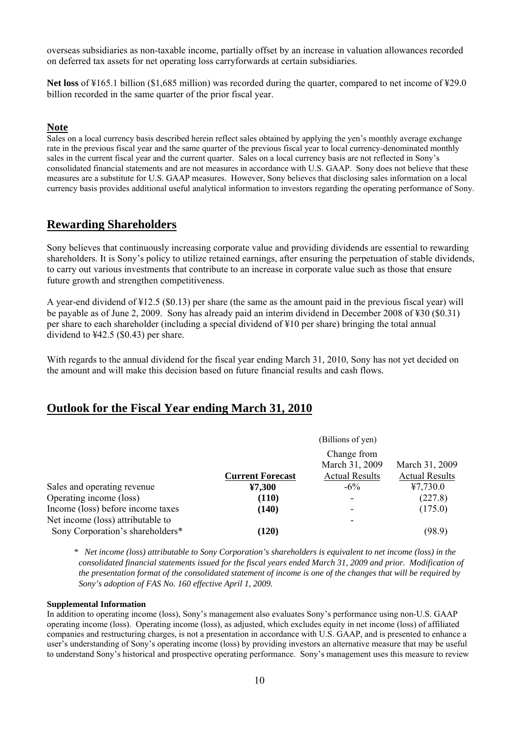overseas subsidiaries as non-taxable income, partially offset by an increase in valuation allowances recorded on deferred tax assets for net operating loss carryforwards at certain subsidiaries.

**Net loss** of ¥165.1 billion (\$1,685 million) was recorded during the quarter, compared to net income of ¥29.0 billion recorded in the same quarter of the prior fiscal year.

#### **Note**

Sales on a local currency basis described herein reflect sales obtained by applying the yen's monthly average exchange rate in the previous fiscal year and the same quarter of the previous fiscal year to local currency-denominated monthly sales in the current fiscal year and the current quarter. Sales on a local currency basis are not reflected in Sony's consolidated financial statements and are not measures in accordance with U.S. GAAP. Sony does not believe that these measures are a substitute for U.S. GAAP measures. However, Sony believes that disclosing sales information on a local currency basis provides additional useful analytical information to investors regarding the operating performance of Sony.

### **Rewarding Shareholders**

Sony believes that continuously increasing corporate value and providing dividends are essential to rewarding shareholders. It is Sony's policy to utilize retained earnings, after ensuring the perpetuation of stable dividends, to carry out various investments that contribute to an increase in corporate value such as those that ensure future growth and strengthen competitiveness.

A year-end dividend of ¥12.5 (\$0.13) per share (the same as the amount paid in the previous fiscal year) will be payable as of June 2, 2009. Sony has already paid an interim dividend in December 2008 of ¥30 (\$0.31) per share to each shareholder (including a special dividend of ¥10 per share) bringing the total annual dividend to  $\text{\textsterling}42.5$  (\$0.43) per share.

With regards to the annual dividend for the fiscal year ending March 31, 2010, Sony has not yet decided on the amount and will make this decision based on future financial results and cash flows.

#### **Outlook for the Fiscal Year ending March 31, 2010**

|                                   | (Billions of yen)<br>Change from |                          |                       |
|-----------------------------------|----------------------------------|--------------------------|-----------------------|
|                                   |                                  |                          |                       |
|                                   |                                  | March 31, 2009           | March 31, 2009        |
|                                   | <b>Current Forecast</b>          | <b>Actual Results</b>    | <b>Actual Results</b> |
| Sales and operating revenue       | ¥7,300                           | $-6\%$                   | 47,730.0              |
| Operating income (loss)           | (110)                            | ۰                        | (227.8)               |
| Income (loss) before income taxes | (140)                            | ۰                        | (175.0)               |
| Net income (loss) attributable to |                                  | $\overline{\phantom{0}}$ |                       |
| Sony Corporation's shareholders*  | (120)                            |                          | (98.9)                |

*\* Net income (loss) attributable to Sony Corporation's shareholders is equivalent to net income (loss) in the consolidated financial statements issued for the fiscal years ended March 31, 2009 and prior. Modification of the presentation format of the consolidated statement of income is one of the changes that will be required by Sony's adoption of FAS No. 160 effective April 1, 2009.* 

#### **Supplemental Information**

In addition to operating income (loss), Sony's management also evaluates Sony's performance using non-U.S. GAAP operating income (loss). Operating income (loss), as adjusted, which excludes equity in net income (loss) of affiliated companies and restructuring charges, is not a presentation in accordance with U.S. GAAP, and is presented to enhance a user's understanding of Sony's operating income (loss) by providing investors an alternative measure that may be useful to understand Sony's historical and prospective operating performance. Sony's management uses this measure to review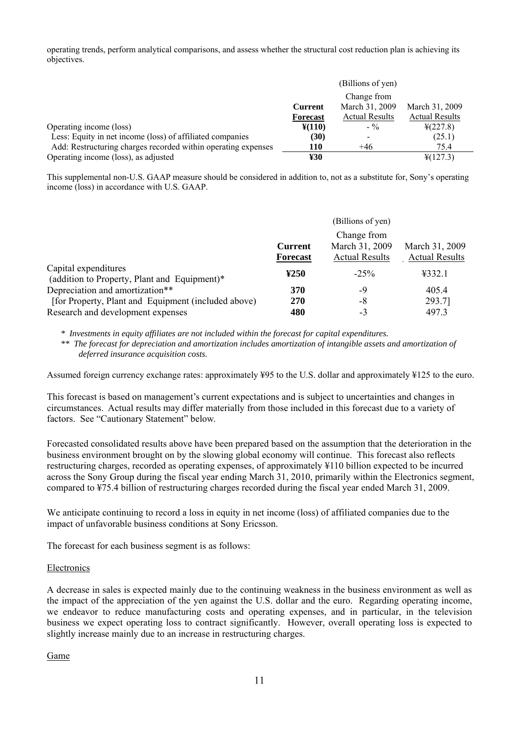operating trends, perform analytical comparisons, and assess whether the structural cost reduction plan is achieving its objectives.

|                                                               |                 | (Billions of yen)     |                       |
|---------------------------------------------------------------|-----------------|-----------------------|-----------------------|
|                                                               |                 | Change from           |                       |
|                                                               | <b>Current</b>  | March 31, 2009        | March 31, 2009        |
|                                                               | <b>Forecast</b> | <b>Actual Results</b> | <b>Actual Results</b> |
| Operating income (loss)                                       | $¥(110)$        | $-$ %                 | $\frac{1}{2}(227.8)$  |
| Less: Equity in net income (loss) of affiliated companies     | (30)            |                       | (25.1)                |
| Add: Restructuring charges recorded within operating expenses | 110             | $+46$                 | 75.4                  |
| Operating income (loss), as adjusted                          | ¥30             |                       | $\frac{1}{2}(127.3)$  |

This supplemental non-U.S. GAAP measure should be considered in addition to, not as a substitute for, Sony's operating income (loss) in accordance with U.S. GAAP.

|                                                                      |                                   | (Billions of yen)                                      |                                         |
|----------------------------------------------------------------------|-----------------------------------|--------------------------------------------------------|-----------------------------------------|
|                                                                      | <b>Current</b><br><b>Forecast</b> | Change from<br>March 31, 2009<br><b>Actual Results</b> | March 31, 2009<br><b>Actual Results</b> |
| Capital expenditures<br>(addition to Property, Plant and Equipment)* | ¥250                              | $-25%$                                                 | 4332.1                                  |
| Depreciation and amortization**                                      | 370                               | -9                                                     | 405.4                                   |
| [for Property, Plant and Equipment (included above)                  | <b>270</b>                        | -8                                                     | 293.71                                  |
| Research and development expenses                                    | 480                               | -3                                                     | 497.3                                   |

*\* Investments in equity affiliates are not included within the forecast for capital expenditures.* 

*\*\* The forecast for depreciation and amortization includes amortization of intangible assets and amortization of deferred insurance acquisition costs.* 

Assumed foreign currency exchange rates: approximately ¥95 to the U.S. dollar and approximately ¥125 to the euro.

This forecast is based on management's current expectations and is subject to uncertainties and changes in circumstances. Actual results may differ materially from those included in this forecast due to a variety of factors. See "Cautionary Statement" below.

Forecasted consolidated results above have been prepared based on the assumption that the deterioration in the business environment brought on by the slowing global economy will continue. This forecast also reflects restructuring charges, recorded as operating expenses, of approximately ¥110 billion expected to be incurred across the Sony Group during the fiscal year ending March 31, 2010, primarily within the Electronics segment, compared to ¥75.4 billion of restructuring charges recorded during the fiscal year ended March 31, 2009.

We anticipate continuing to record a loss in equity in net income (loss) of affiliated companies due to the impact of unfavorable business conditions at Sony Ericsson.

The forecast for each business segment is as follows:

#### Electronics

A decrease in sales is expected mainly due to the continuing weakness in the business environment as well as the impact of the appreciation of the yen against the U.S. dollar and the euro. Regarding operating income, we endeavor to reduce manufacturing costs and operating expenses, and in particular, in the television business we expect operating loss to contract significantly. However, overall operating loss is expected to slightly increase mainly due to an increase in restructuring charges.

Game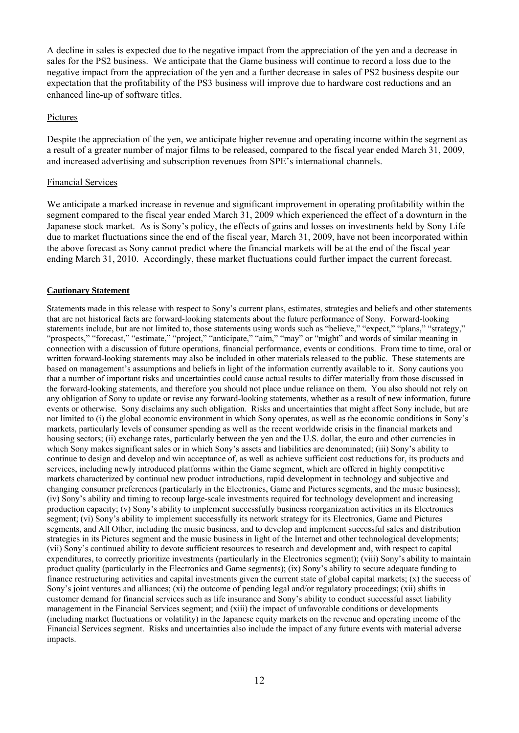A decline in sales is expected due to the negative impact from the appreciation of the yen and a decrease in sales for the PS2 business. We anticipate that the Game business will continue to record a loss due to the negative impact from the appreciation of the yen and a further decrease in sales of PS2 business despite our expectation that the profitability of the PS3 business will improve due to hardware cost reductions and an enhanced line-up of software titles.

#### Pictures

Despite the appreciation of the yen, we anticipate higher revenue and operating income within the segment as a result of a greater number of major films to be released, compared to the fiscal year ended March 31, 2009, and increased advertising and subscription revenues from SPE's international channels.

#### Financial Services

We anticipate a marked increase in revenue and significant improvement in operating profitability within the segment compared to the fiscal year ended March 31, 2009 which experienced the effect of a downturn in the Japanese stock market. As is Sony's policy, the effects of gains and losses on investments held by Sony Life due to market fluctuations since the end of the fiscal year, March 31, 2009, have not been incorporated within the above forecast as Sony cannot predict where the financial markets will be at the end of the fiscal year ending March 31, 2010. Accordingly, these market fluctuations could further impact the current forecast.

#### **Cautionary Statement**

Statements made in this release with respect to Sony's current plans, estimates, strategies and beliefs and other statements that are not historical facts are forward-looking statements about the future performance of Sony. Forward-looking statements include, but are not limited to, those statements using words such as "believe," "expect," "plans," "strategy," "prospects," "forecast," "estimate," "project," "anticipate," "aim," "may" or "might" and words of similar meaning in connection with a discussion of future operations, financial performance, events or conditions. From time to time, oral or written forward-looking statements may also be included in other materials released to the public. These statements are based on management's assumptions and beliefs in light of the information currently available to it. Sony cautions you that a number of important risks and uncertainties could cause actual results to differ materially from those discussed in the forward-looking statements, and therefore you should not place undue reliance on them. You also should not rely on any obligation of Sony to update or revise any forward-looking statements, whether as a result of new information, future events or otherwise. Sony disclaims any such obligation. Risks and uncertainties that might affect Sony include, but are not limited to (i) the global economic environment in which Sony operates, as well as the economic conditions in Sony's markets, particularly levels of consumer spending as well as the recent worldwide crisis in the financial markets and housing sectors; (ii) exchange rates, particularly between the yen and the U.S. dollar, the euro and other currencies in which Sony makes significant sales or in which Sony's assets and liabilities are denominated; (iii) Sony's ability to continue to design and develop and win acceptance of, as well as achieve sufficient cost reductions for, its products and services, including newly introduced platforms within the Game segment, which are offered in highly competitive markets characterized by continual new product introductions, rapid development in technology and subjective and changing consumer preferences (particularly in the Electronics, Game and Pictures segments, and the music business); (iv) Sony's ability and timing to recoup large-scale investments required for technology development and increasing production capacity; (v) Sony's ability to implement successfully business reorganization activities in its Electronics segment; (vi) Sony's ability to implement successfully its network strategy for its Electronics, Game and Pictures segments, and All Other, including the music business, and to develop and implement successful sales and distribution strategies in its Pictures segment and the music business in light of the Internet and other technological developments; (vii) Sony's continued ability to devote sufficient resources to research and development and, with respect to capital expenditures, to correctly prioritize investments (particularly in the Electronics segment); (viii) Sony's ability to maintain product quality (particularly in the Electronics and Game segments); (ix) Sony's ability to secure adequate funding to finance restructuring activities and capital investments given the current state of global capital markets; (x) the success of Sony's joint ventures and alliances; (xi) the outcome of pending legal and/or regulatory proceedings; (xii) shifts in customer demand for financial services such as life insurance and Sony's ability to conduct successful asset liability management in the Financial Services segment; and (xiii) the impact of unfavorable conditions or developments (including market fluctuations or volatility) in the Japanese equity markets on the revenue and operating income of the Financial Services segment. Risks and uncertainties also include the impact of any future events with material adverse impacts.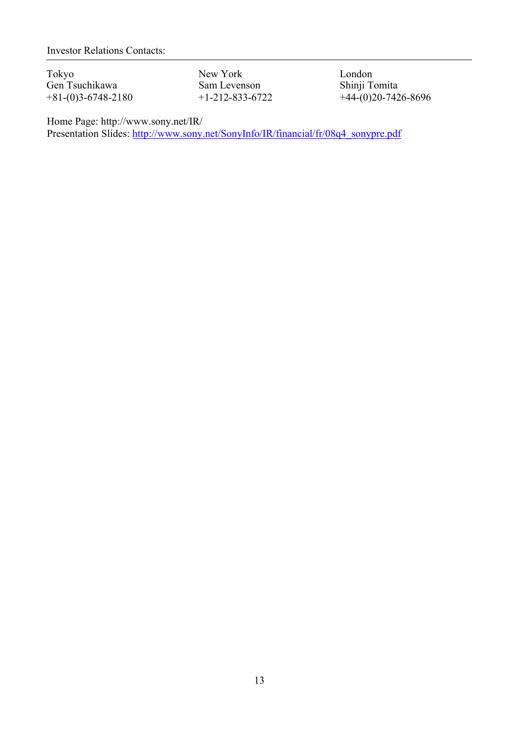Investor Relations Contacts:

Tokyo New York London<br>Gen Tsuchikawa Sam Levenson Shinji Tomita Gen Tsuchikawa Sam Levenson<br>+81-(0)3-6748-2180 +1-212-833-6722

 $+44-(0)20-7426-8696$ 

Home Page: http://www.sony.net/IR/ Presentation Slides: http://www.sony.net/SonyInfo/IR/financial/fr/08q4\_sonypre.pdf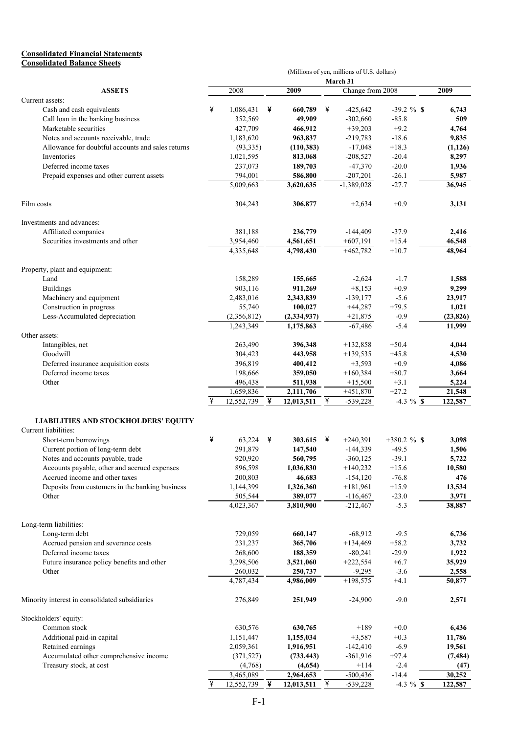#### **Consolidated Financial Statements Consolidated Balance Sheets**

|                                                   | (Millions of yen, millions of U.S. dollars) |             |   |               |   |                  |                |           |  |  |
|---------------------------------------------------|---------------------------------------------|-------------|---|---------------|---|------------------|----------------|-----------|--|--|
|                                                   |                                             |             |   |               |   | March 31         |                |           |  |  |
| <b>ASSETS</b>                                     |                                             | 2008        |   | 2009          |   | Change from 2008 |                | 2009      |  |  |
| Current assets:                                   |                                             |             |   |               |   |                  |                |           |  |  |
| Cash and cash equivalents                         | ¥                                           | 1,086,431   | ¥ | 660,789       | ¥ | $-425,642$       | $-39.2 \%$ \$  | 6,743     |  |  |
| Call loan in the banking business                 |                                             | 352,569     |   | 49,909        |   | $-302,660$       | $-85.8$        | 509       |  |  |
| Marketable securities                             |                                             | 427,709     |   | 466,912       |   | $+39,203$        | $+9.2$         | 4,764     |  |  |
| Notes and accounts receivable, trade              |                                             | 1,183,620   |   | 963,837       |   | $-219,783$       | $-18.6$        | 9,835     |  |  |
| Allowance for doubtful accounts and sales returns |                                             | (93, 335)   |   | (110,383)     |   | $-17,048$        | $+18.3$        | (1, 126)  |  |  |
| Inventories                                       |                                             | 1,021,595   |   | 813,068       |   | $-208,527$       | $-20.4$        | 8,297     |  |  |
| Deferred income taxes                             |                                             | 237,073     |   | 189,703       |   | $-47,370$        | $-20.0$        | 1,936     |  |  |
| Prepaid expenses and other current assets         |                                             | 794,001     |   | 586,800       |   | $-207,201$       | $-26.1$        | 5,987     |  |  |
|                                                   |                                             | 5,009,663   |   | 3,620,635     |   | $-1,389,028$     | $-27.7$        | 36,945    |  |  |
| Film costs                                        |                                             | 304,243     |   | 306,877       |   | $+2,634$         | $+0.9$         | 3,131     |  |  |
| Investments and advances:                         |                                             |             |   |               |   |                  |                |           |  |  |
| Affiliated companies                              |                                             | 381,188     |   | 236,779       |   | $-144,409$       | $-37.9$        | 2,416     |  |  |
| Securities investments and other                  |                                             | 3,954,460   |   | 4,561,651     |   | $+607,191$       | $+15.4$        | 46,548    |  |  |
|                                                   |                                             | 4,335,648   |   | 4,798,430     |   | $+462,782$       | $+10.7$        | 48,964    |  |  |
| Property, plant and equipment:                    |                                             |             |   |               |   |                  |                |           |  |  |
| Land                                              |                                             | 158,289     |   | 155,665       |   | $-2,624$         | $-1.7$         | 1,588     |  |  |
| <b>Buildings</b>                                  |                                             | 903,116     |   | 911,269       |   | $+8,153$         | $+0.9$         | 9,299     |  |  |
| Machinery and equipment                           |                                             | 2,483,016   |   | 2,343,839     |   | $-139,177$       | $-5.6$         | 23,917    |  |  |
| Construction in progress                          |                                             | 55,740      |   | 100,027       |   | $+44,287$        | $+79.5$        | 1,021     |  |  |
| Less-Accumulated depreciation                     |                                             | (2,356,812) |   | (2, 334, 937) |   | $+21,875$        | $-0.9$         | (23, 826) |  |  |
| Other assets:                                     |                                             | 1,243,349   |   | 1,175,863     |   | $-67,486$        | $-5.4$         | 11,999    |  |  |
| Intangibles, net                                  |                                             | 263,490     |   | 396,348       |   | $+132,858$       | $+50.4$        | 4,044     |  |  |
| Goodwill                                          |                                             | 304,423     |   | 443,958       |   | $+139,535$       | $+45.8$        | 4,530     |  |  |
| Deferred insurance acquisition costs              |                                             | 396,819     |   | 400,412       |   | $+3,593$         | $+0.9$         | 4,086     |  |  |
| Deferred income taxes                             |                                             | 198,666     |   | 359,050       |   | $+160,384$       | $+80.7$        | 3,664     |  |  |
| Other                                             |                                             | 496,438     |   | 511,938       |   | $+15,500$        | $+3.1$         | 5,224     |  |  |
|                                                   |                                             | 1,659,836   |   | 2,111,706     |   | $+451,870$       | $+27.2$        | 21,548    |  |  |
|                                                   |                                             | 12,552,739  | ¥ | 12,013,511    | ¥ | $-539,228$       | $-4.3 \%$ \$   | 122,587   |  |  |
| <b>LIABILITIES AND STOCKHOLDERS' EQUITY</b>       |                                             |             |   |               |   |                  |                |           |  |  |
| Current liabilities:                              |                                             |             |   |               |   |                  |                |           |  |  |
| Short-term borrowings                             | ¥                                           | 63,224      | ¥ | 303,615       | ¥ | $+240,391$       | $+380.2 \%$ \$ | 3,098     |  |  |
| Current portion of long-term debt                 |                                             | 291,879     |   | 147,540       |   | $-144,339$       | $-49.5$        | 1,506     |  |  |
| Notes and accounts payable, trade                 |                                             | 920,920     |   | 560,795       |   | $-360, 125$      | $-39.1$        | 5,722     |  |  |
| Accounts payable, other and accrued expenses      |                                             | 896,598     |   | 1,036,830     |   | $+140,232$       | $+15.6$        | 10,580    |  |  |
| Accrued income and other taxes                    |                                             | 200,803     |   | 46,683        |   | $-154, 120$      | $-76.8$        | 476       |  |  |
| Deposits from customers in the banking business   |                                             | 1,144,399   |   | 1,326,360     |   | $+181,961$       | $+15.9$        | 13,534    |  |  |
| Other                                             |                                             | 505,544     |   | 389,077       |   | $-116,467$       | $-23.0$        | 3,971     |  |  |
|                                                   |                                             | 4,023,367   |   | 3,810,900     |   | $-212,467$       | $-5.3$         | 38,887    |  |  |
| Long-term liabilities:                            |                                             |             |   |               |   |                  |                |           |  |  |
| Long-term debt                                    |                                             | 729,059     |   | 660,147       |   | $-68,912$        | $-9.5$         | 6,736     |  |  |
| Accrued pension and severance costs               |                                             | 231,237     |   | 365,706       |   | $+134,469$       | $+58.2$        | 3,732     |  |  |
| Deferred income taxes                             |                                             | 268,600     |   | 188,359       |   | $-80,241$        | $-29.9$        | 1,922     |  |  |
| Future insurance policy benefits and other        |                                             | 3,298,506   |   | 3,521,060     |   | $+222,554$       | $+6.7$         | 35,929    |  |  |
| Other                                             |                                             | 260,032     |   | 250,737       |   | $-9,295$         | $-3.6$         | 2,558     |  |  |
|                                                   |                                             | 4,787,434   |   | 4,986,009     |   | $+198,575$       | $+4.1$         | 50,877    |  |  |
| Minority interest in consolidated subsidiaries    |                                             | 276,849     |   | 251,949       |   | $-24,900$        | $-9.0$         | 2,571     |  |  |
| Stockholders' equity:                             |                                             |             |   |               |   |                  |                |           |  |  |
| Common stock                                      |                                             | 630,576     |   | 630,765       |   | $+189$           | $+0.0$         | 6,436     |  |  |
| Additional paid-in capital                        |                                             | 1,151,447   |   | 1,155,034     |   | $+3,587$         | $+0.3$         | 11,786    |  |  |
| Retained earnings                                 |                                             | 2,059,361   |   | 1,916,951     |   | $-142,410$       | $-6.9$         | 19,561    |  |  |
| Accumulated other comprehensive income            |                                             | (371, 527)  |   | (733, 443)    |   | $-361,916$       | $+97.4$        | (7, 484)  |  |  |
| Treasury stock, at cost                           |                                             | (4,768)     |   | (4,654)       |   | $+114$           | $-2.4$         | (47)      |  |  |
|                                                   |                                             | 3,465,089   |   | 2,964,653     |   | $-500,436$       | $-14.4$        | 30,252    |  |  |
|                                                   | ¥                                           | 12,552,739  | ¥ | 12,013,511    | ¥ | $-539,228$       | $-4.3 \%$ \$   | 122,587   |  |  |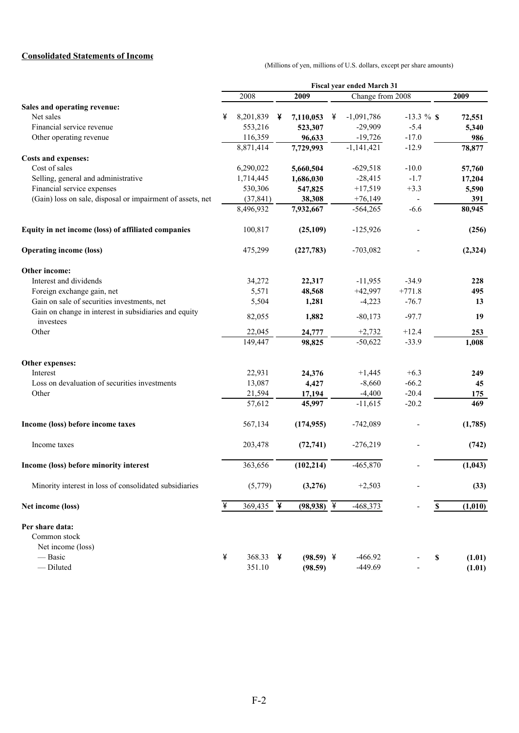## **Consolidated Statements of Income**

(Millions of yen, millions of U.S. dollars, except per share amounts)

|                                                                    |   |                        |   |              |   | Fiscal year ended March 31 |                          |             |         |
|--------------------------------------------------------------------|---|------------------------|---|--------------|---|----------------------------|--------------------------|-------------|---------|
|                                                                    |   | 2008                   |   | 2009         |   | Change from 2008           |                          |             | 2009    |
| Sales and operating revenue:                                       |   |                        |   |              |   |                            |                          |             |         |
| Net sales                                                          | ¥ | 8,201,839              | ¥ | 7,110,053    | ¥ | $-1,091,786$               | $-13.3 \%$ \$            |             | 72,551  |
| Financial service revenue                                          |   | 553,216                |   | 523,307      |   | $-29,909$                  | $-5.4$                   |             | 5,340   |
| Other operating revenue                                            |   | 116,359                |   | 96,633       |   | $-19,726$                  | $-17.0$                  |             | 986     |
|                                                                    |   | 8,871,414              |   | 7,729,993    |   | $-1,141,421$               | $-12.9$                  |             | 78,877  |
| <b>Costs and expenses:</b>                                         |   |                        |   |              |   |                            |                          |             |         |
| Cost of sales                                                      |   | 6,290,022              |   | 5,660,504    |   | $-629,518$                 | $-10.0$                  |             | 57,760  |
| Selling, general and administrative                                |   | 1,714,445              |   | 1,686,030    |   | $-28,415$                  | $-1.7$                   |             | 17,204  |
| Financial service expenses                                         |   | 530,306                |   | 547,825      |   | $+17,519$                  | $+3.3$                   |             | 5,590   |
| (Gain) loss on sale, disposal or impairment of assets, net         |   | (37, 841)              |   | 38,308       |   | $+76,149$                  | $\overline{\phantom{a}}$ |             | 391     |
|                                                                    |   | 8,496,932              |   | 7,932,667    |   | $-564,265$                 | $-6.6$                   |             | 80,945  |
| Equity in net income (loss) of affiliated companies                |   | 100,817                |   | (25,109)     |   | $-125,926$                 |                          |             | (256)   |
| <b>Operating income (loss)</b>                                     |   | 475,299                |   | (227,783)    |   | $-703,082$                 |                          |             | (2,324) |
| Other income:                                                      |   |                        |   |              |   |                            |                          |             |         |
| Interest and dividends                                             |   | 34,272                 |   | 22,317       |   | $-11,955$                  | $-34.9$                  |             | 228     |
| Foreign exchange gain, net                                         |   | 5,571                  |   | 48,568       |   | $+42,997$                  | $+771.8$                 |             | 495     |
| Gain on sale of securities investments, net                        |   | 5,504                  |   | 1,281        |   | $-4,223$                   | $-76.7$                  |             | 13      |
| Gain on change in interest in subsidiaries and equity<br>investees |   | 82,055                 |   | 1,882        |   | $-80,173$                  | $-97.7$                  |             | 19      |
| Other                                                              |   | 22,045                 |   | 24,777       |   | $+2,732$                   | $+12.4$                  |             | 253     |
|                                                                    |   | 149,447                |   | 98,825       |   | $-50,622$                  | $-33.9$                  |             | 1,008   |
| Other expenses:                                                    |   |                        |   |              |   |                            |                          |             |         |
| Interest                                                           |   | 22,931                 |   | 24,376       |   | $+1,445$                   | $+6.3$                   |             | 249     |
| Loss on devaluation of securities investments                      |   | 13,087                 |   | 4,427        |   | $-8,660$                   | $-66.2$                  |             | 45      |
| Other                                                              |   | 21,594                 |   | 17,194       |   | $-4,400$                   | $-20.4$                  |             | 175     |
|                                                                    |   | 57,612                 |   | 45,997       |   | $-11,615$                  | $-20.2$                  |             | 469     |
| Income (loss) before income taxes                                  |   | 567,134                |   | (174, 955)   |   | $-742,089$                 |                          |             | (1,785) |
| Income taxes                                                       |   | 203,478                |   | (72, 741)    |   | $-276,219$                 |                          |             | (742)   |
| Income (loss) before minority interest                             |   | 363,656                |   | (102, 214)   |   | $-465,870$                 |                          |             | (1,043) |
| Minority interest in loss of consolidated subsidiaries             |   | (5,779)                |   | (3,276)      |   | $+2,503$                   |                          |             | (33)    |
| Net income (loss)                                                  | ¥ | 369,435 $\overline{4}$ |   | $(98,938)$ ¥ |   | $-468,373$                 |                          | $\mathbb S$ | (1,010) |
| Per share data:                                                    |   |                        |   |              |   |                            |                          |             |         |
| Common stock                                                       |   |                        |   |              |   |                            |                          |             |         |
| Net income (loss)                                                  |   |                        |   |              |   |                            |                          |             |         |
| — Basic                                                            | ¥ | 368.33                 | ¥ | $(98.59)$ ¥  |   | $-466.92$                  |                          | \$          | (1.01)  |
| - Diluted                                                          |   | 351.10                 |   | (98.59)      |   | $-449.69$                  |                          |             | (1.01)  |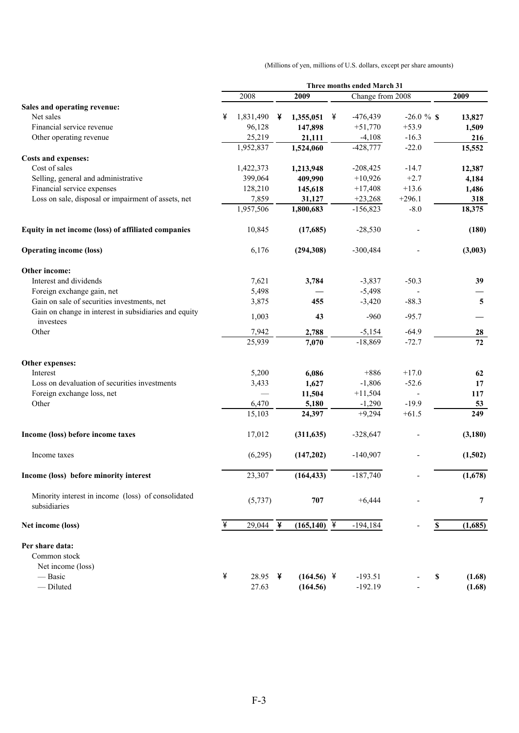(Millions of yen, millions of U.S. dollars, except per share amounts)

|                                                                    |   |                          |   |                |   | Three months ended March 31 |            |                           |                |  |
|--------------------------------------------------------------------|---|--------------------------|---|----------------|---|-----------------------------|------------|---------------------------|----------------|--|
|                                                                    |   | 2008                     |   | 2009           |   | Change from 2008            |            |                           | 2009           |  |
| Sales and operating revenue:                                       |   |                          |   |                |   |                             |            |                           |                |  |
| Net sales                                                          | ¥ | 1,831,490                | ¥ | 1,355,051      | ¥ | $-476,439$                  | $-26.0 \%$ |                           | 13,827         |  |
| Financial service revenue                                          |   | 96,128                   |   | 147,898        |   | $+51,770$                   | $+53.9$    |                           | 1,509          |  |
| Other operating revenue                                            |   | 25,219                   |   | 21,111         |   | $-4,108$                    | $-16.3$    |                           | 216            |  |
|                                                                    |   | 1,952,837                |   | 1,524,060      |   | $-428,777$                  | $-22.0$    |                           | 15,552         |  |
| Costs and expenses:                                                |   |                          |   |                |   |                             |            |                           |                |  |
| Cost of sales                                                      |   | 1,422,373                |   | 1,213,948      |   | $-208,425$                  | $-14.7$    |                           | 12,387         |  |
| Selling, general and administrative                                |   | 399,064                  |   | 409,990        |   | $+10,926$                   | $+2.7$     |                           | 4,184          |  |
| Financial service expenses                                         |   | 128,210                  |   | 145,618        |   | $+17,408$                   | $+13.6$    |                           | 1,486          |  |
| Loss on sale, disposal or impairment of assets, net                |   | 7,859                    |   | 31,127         |   | $+23,268$                   | $+296.1$   |                           | 318            |  |
|                                                                    |   | 1,957,506                |   | 1,800,683      |   | $-156,823$                  | $-8.0$     |                           | 18,375         |  |
| Equity in net income (loss) of affiliated companies                |   | 10,845                   |   | (17,685)       |   | $-28,530$                   |            |                           | (180)          |  |
| <b>Operating income (loss)</b>                                     |   | 6,176                    |   | (294, 308)     |   | $-300,484$                  |            |                           | (3,003)        |  |
| Other income:                                                      |   |                          |   |                |   |                             |            |                           |                |  |
| Interest and dividends                                             |   | 7,621                    |   | 3,784          |   | $-3,837$                    | $-50.3$    |                           | 39             |  |
| Foreign exchange gain, net                                         |   | 5,498                    |   |                |   | $-5,498$                    |            |                           |                |  |
| Gain on sale of securities investments, net                        |   | 3,875                    |   | 455            |   | $-3,420$                    | $-88.3$    |                           | $\overline{5}$ |  |
| Gain on change in interest in subsidiaries and equity<br>investees |   | 1,003                    |   | 43             |   | $-960$                      | $-95.7$    |                           |                |  |
| Other                                                              |   | 7,942                    |   | 2,788          |   | $-5,154$                    | $-64.9$    |                           | 28             |  |
|                                                                    |   | 25,939                   |   | 7,070          |   | $-18,869$                   | $-72.7$    |                           | 72             |  |
| Other expenses:                                                    |   |                          |   |                |   |                             |            |                           |                |  |
| Interest                                                           |   | 5,200                    |   | 6,086          |   | $+886$                      | $+17.0$    |                           | 62             |  |
| Loss on devaluation of securities investments                      |   | 3,433                    |   | 1,627          |   | $-1,806$                    | $-52.6$    |                           | 17             |  |
| Foreign exchange loss, net                                         |   | $\overline{\phantom{0}}$ |   | 11,504         |   | $+11,504$                   |            |                           | 117            |  |
| Other                                                              |   | 6,470                    |   | 5,180          |   | $-1,290$                    | $-19.9$    |                           | 53             |  |
|                                                                    |   | 15,103                   |   | 24,397         |   | $+9,294$                    | $+61.5$    |                           | 249            |  |
| Income (loss) before income taxes                                  |   | 17,012                   |   | (311, 635)     |   | $-328,647$                  |            |                           | (3,180)        |  |
| Income taxes                                                       |   | (6,295)                  |   | (147,202)      |   | $-140,907$                  |            |                           | (1,502)        |  |
| Income (loss) before minority interest                             |   | 23,307                   |   | (164, 433)     |   | $-187,740$                  |            |                           | (1,678)        |  |
| Minority interest in income (loss) of consolidated<br>subsidiaries |   | (5, 737)                 |   | 707            |   | $+6,444$                    |            |                           | $\overline{7}$ |  |
| Net income (loss)                                                  | ¥ | 29,044 $\overline{4}$    |   | $(165, 140)$ ¥ |   | $-194,184$                  |            | $\boldsymbol{\mathsf{s}}$ | (1,685)        |  |
| Per share data:                                                    |   |                          |   |                |   |                             |            |                           |                |  |
| Common stock                                                       |   |                          |   |                |   |                             |            |                           |                |  |
| Net income (loss)                                                  |   |                          |   |                |   |                             |            |                           |                |  |
| — Basic                                                            | ¥ | 28.95                    | ¥ | $(164.56)$ ¥   |   | $-193.51$                   |            | \$                        | (1.68)         |  |
| - Diluted                                                          |   | 27.63                    |   | (164.56)       |   | $-192.19$                   |            |                           | (1.68)         |  |
|                                                                    |   |                          |   |                |   |                             |            |                           |                |  |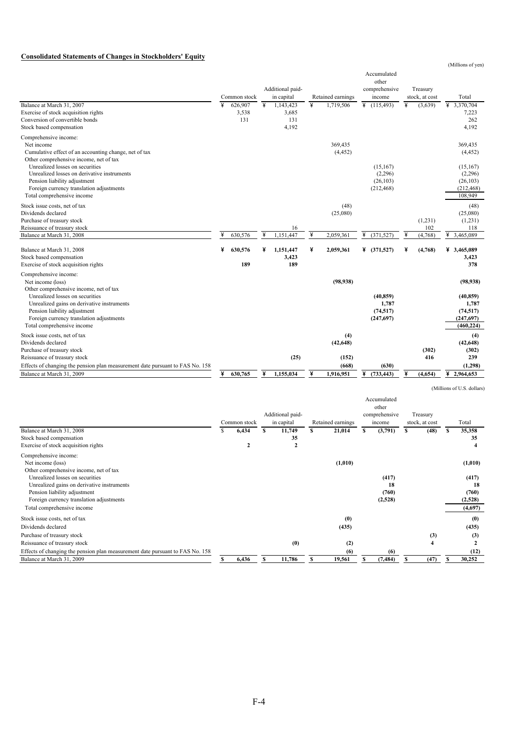#### **Consolidated Statements of Changes in Stockholders' Equity**

|                                                                                                                                                                                          |   |                         |   | Additional paid-                   |                         |                               | Accumulated<br>other<br>comprehensive           |   | Treasury                  |                                                            |
|------------------------------------------------------------------------------------------------------------------------------------------------------------------------------------------|---|-------------------------|---|------------------------------------|-------------------------|-------------------------------|-------------------------------------------------|---|---------------------------|------------------------------------------------------------|
|                                                                                                                                                                                          |   | Common stock            |   | in capital                         |                         | Retained earnings             | income                                          |   | stock, at cost            | Total                                                      |
| Balance at March 31, 2007<br>Exercise of stock acquisition rights<br>Conversion of convertible bonds<br>Stock based compensation                                                         | ¥ | 626,907<br>3,538<br>131 | ¥ | 1,143,423<br>3,685<br>131<br>4,192 | $\overline{\mathbf{y}}$ | 1,719,506                     | $\overline{4}$ (115,493)                        | ¥ | (3,639)                   | ¥ 3,370,704<br>7,223<br>262<br>4,192                       |
| Comprehensive income:<br>Net income<br>Cumulative effect of an accounting change, net of tax<br>Other comprehensive income, net of tax                                                   |   |                         |   |                                    |                         | 369,435<br>(4, 452)           |                                                 |   |                           | 369,435<br>(4, 452)                                        |
| Unrealized losses on securities<br>Unrealized losses on derivative instruments<br>Pension liability adjustment<br>Foreign currency translation adjustments<br>Total comprehensive income |   |                         |   |                                    |                         |                               | (15, 167)<br>(2,296)<br>(26, 103)<br>(212, 468) |   |                           | (15, 167)<br>(2,296)<br>(26, 103)<br>(212, 468)<br>108,949 |
| Stock issue costs, net of tax<br>Dividends declared<br>Purchase of treasury stock<br>Reissuance of treasury stock<br>Balance at March 31, 2008                                           |   | 630.576                 | ¥ | 16<br>1.151.447                    | ¥                       | (48)<br>(25,080)<br>2.059.361 | ¥<br>(371, 527)                                 |   | (1,231)<br>102<br>(4,768) | (48)<br>(25,080)<br>(1,231)<br>118<br>¥<br>3,465,089       |
| Balance at March 31, 2008<br>Stock based compensation<br>Exercise of stock acquisition rights                                                                                            | ¥ | 630,576<br>189          | x | 1,151,447<br>3,423<br>189          | ¥                       | 2,059,361                     | 4 (371,527)                                     |   | (4,768)                   | ¥ 3,465,089<br>3,423<br>378                                |
| Comprehensive income:<br>Net income (loss)<br>Other comprehensive income, net of tax                                                                                                     |   |                         |   |                                    |                         | (98, 938)                     |                                                 |   |                           | (98, 938)                                                  |
| Unrealized losses on securities<br>Unrealized gains on derivative instruments<br>Pension liability adjustment<br>Foreign currency translation adjustments<br>Total comprehensive income  |   |                         |   |                                    |                         |                               | (40, 859)<br>1.787<br>(74, 517)<br>(247,697)    |   |                           | (40, 859)<br>1,787<br>(74, 517)<br>(247,697)<br>(460, 224) |
| Stock issue costs, net of tax<br>Dividends declared<br>Purchase of treasury stock<br>Reissuance of treasury stock                                                                        |   |                         |   | (25)                               |                         | (4)<br>(42, 648)<br>(152)     |                                                 |   | (302)<br>416              | (4)<br>(42, 648)<br>(302)<br>239                           |
| Effects of changing the pension plan measurement date pursuant to FAS No. 158<br>Balance at March 31, 2009                                                                               | ¥ | 630,765                 | ¥ | 1.155.034                          | ¥                       | (668)<br>1.916.951            | (630)<br>4 (733, 443)                           |   | (4,654)                   | (1,298)<br>42,964,653                                      |
|                                                                                                                                                                                          |   |                         |   |                                    |                         |                               |                                                 |   |                           |                                                            |

(Millions of U.S. dollars)

(Millions of yen)

|                                                                               |   | Common stock | Additional paid-<br>in capital |   | Retained earnings |   | Accumulated<br>other<br>comprehensive<br>income |   | Treasury<br>stock, at cost |   | Total   |
|-------------------------------------------------------------------------------|---|--------------|--------------------------------|---|-------------------|---|-------------------------------------------------|---|----------------------------|---|---------|
| Balance at March 31, 2008                                                     | S | 6,434        | 11,749                         | s | 21,014            | S | (3,791)                                         | s | (48)                       | S | 35,358  |
| Stock based compensation                                                      |   |              | 35                             |   |                   |   |                                                 |   |                            |   | 35      |
| Exercise of stock acquisition rights                                          |   |              | $\overline{2}$                 |   |                   |   |                                                 |   |                            |   |         |
| Comprehensive income:                                                         |   |              |                                |   |                   |   |                                                 |   |                            |   |         |
| Net income (loss)                                                             |   |              |                                |   | (1,010)           |   |                                                 |   |                            |   | (1,010) |
| Other comprehensive income, net of tax                                        |   |              |                                |   |                   |   |                                                 |   |                            |   |         |
| Unrealized losses on securities                                               |   |              |                                |   |                   |   | (417)                                           |   |                            |   | (417)   |
| Unrealized gains on derivative instruments                                    |   |              |                                |   |                   |   | 18                                              |   |                            |   | 18      |
| Pension liability adjustment                                                  |   |              |                                |   |                   |   | (760)                                           |   |                            |   | (760)   |
| Foreign currency translation adjustments                                      |   |              |                                |   |                   |   | (2,528)                                         |   |                            |   | (2,528) |
| Total comprehensive income                                                    |   |              |                                |   |                   |   |                                                 |   |                            |   | (4,697) |
| Stock issue costs, net of tax                                                 |   |              |                                |   | (0)               |   |                                                 |   |                            |   | (0)     |
| Dividends declared                                                            |   |              |                                |   | (435)             |   |                                                 |   |                            |   | (435)   |
| Purchase of treasury stock                                                    |   |              |                                |   |                   |   |                                                 |   | (3)                        |   | (3)     |
| Reissuance of treasury stock                                                  |   |              | (0)                            |   | (2)               |   |                                                 |   | $\overline{\mathbf{4}}$    |   |         |
| Effects of changing the pension plan measurement date pursuant to FAS No. 158 |   |              |                                |   | (6)               |   | (6)                                             |   |                            |   | (12)    |
| Balance at March 31, 2009                                                     |   | 6,436        | 11,786                         |   | 19,561            |   | (7, 484)                                        |   | (47)                       |   | 30,252  |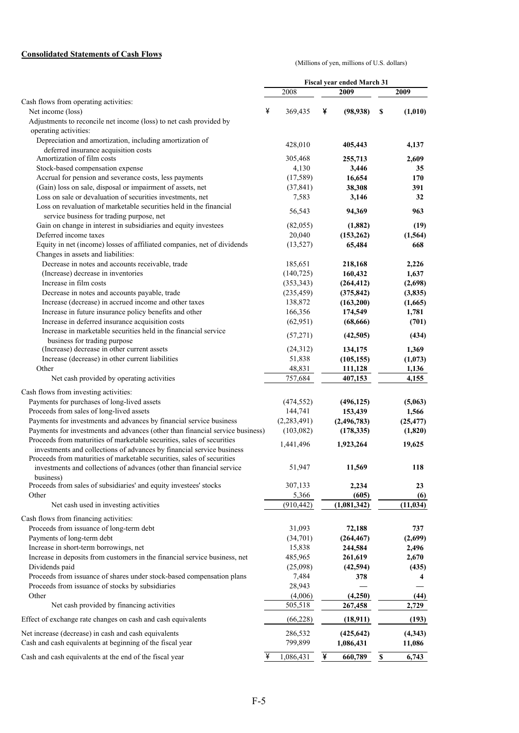#### **Consolidated Statements of Cash Flows**

(Millions of yen, millions of U.S. dollars)

|                                                                                                                                                 |                    | <b>Fiscal year ended March 31</b> |                             |
|-------------------------------------------------------------------------------------------------------------------------------------------------|--------------------|-----------------------------------|-----------------------------|
|                                                                                                                                                 | 2008               | 2009                              | 2009                        |
| Cash flows from operating activities:                                                                                                           |                    |                                   |                             |
| Net income (loss)                                                                                                                               | ¥<br>369,435       | ¥<br>(98, 938)                    | \$<br>(1,010)               |
| Adjustments to reconcile net income (loss) to net cash provided by                                                                              |                    |                                   |                             |
| operating activities:                                                                                                                           |                    |                                   |                             |
| Depreciation and amortization, including amortization of                                                                                        | 428,010            | 405,443                           | 4,137                       |
| deferred insurance acquisition costs                                                                                                            |                    |                                   |                             |
| Amortization of film costs                                                                                                                      | 305,468            | 255,713                           | 2,609                       |
| Stock-based compensation expense                                                                                                                | 4,130              | 3,446                             | 35                          |
| Accrual for pension and severance costs, less payments                                                                                          | (17, 589)          | 16,654                            | 170                         |
| (Gain) loss on sale, disposal or impairment of assets, net                                                                                      | (37, 841)          | 38,308                            | 391                         |
| Loss on sale or devaluation of securities investments, net                                                                                      | 7,583              | 3,146                             | 32                          |
| Loss on revaluation of marketable securities held in the financial<br>service business for trading purpose, net                                 | 56,543             | 94,369                            | 963                         |
| Gain on change in interest in subsidiaries and equity investees                                                                                 | (82,055)           | (1,882)                           | (19)                        |
| Deferred income taxes                                                                                                                           | 20,040             | (153, 262)                        | (1, 564)                    |
| Equity in net (income) losses of affiliated companies, net of dividends                                                                         | (13, 527)          | 65,484                            | 668                         |
| Changes in assets and liabilities:                                                                                                              |                    |                                   |                             |
| Decrease in notes and accounts receivable, trade                                                                                                | 185,651            | 218,168                           | 2,226                       |
| (Increase) decrease in inventories                                                                                                              | (140, 725)         | 160,432                           | 1,637                       |
| Increase in film costs                                                                                                                          | (353, 343)         | (264, 412)                        | (2,698)                     |
| Decrease in notes and accounts payable, trade                                                                                                   | (235, 459)         | (375, 842)                        | (3,835)                     |
| Increase (decrease) in accrued income and other taxes                                                                                           | 138,872            | (163,200)                         | (1,665)                     |
| Increase in future insurance policy benefits and other                                                                                          | 166,356            | 174,549                           | 1,781                       |
| Increase in deferred insurance acquisition costs                                                                                                | (62, 951)          | (68, 666)                         | (701)                       |
| Increase in marketable securities held in the financial service                                                                                 |                    |                                   |                             |
| business for trading purpose                                                                                                                    | (57,271)           | (42,505)                          | (434)                       |
| (Increase) decrease in other current assets                                                                                                     | (24,312)           | 134,175                           | 1,369                       |
| Increase (decrease) in other current liabilities                                                                                                | 51,838             | (105, 155)                        | (1,073)                     |
| Other                                                                                                                                           | 48,831             | 111,128                           | 1,136                       |
| Net cash provided by operating activities                                                                                                       | 757,684            | 407,153                           | 4,155                       |
| Cash flows from investing activities:                                                                                                           |                    |                                   |                             |
| Payments for purchases of long-lived assets                                                                                                     | (474, 552)         | (496, 125)                        | (5,063)                     |
| Proceeds from sales of long-lived assets                                                                                                        | 144,741            | 153,439                           | 1,566                       |
| Payments for investments and advances by financial service business                                                                             | (2,283,491)        | (2, 496, 783)                     | (25, 477)                   |
| Payments for investments and advances (other than financial service business)                                                                   | (103,082)          | (178, 335)                        | (1,820)                     |
| Proceeds from maturities of marketable securities, sales of securities                                                                          | 1,441,496          | 1,923,264                         | 19,625                      |
| investments and collections of advances by financial service business<br>Proceeds from maturities of marketable securities, sales of securities |                    |                                   |                             |
| investments and collections of advances (other than financial service                                                                           | 51,947             | 11,569                            | 118                         |
| business)<br>Proceeds from sales of subsidiaries' and equity investees' stocks                                                                  | 307,133            | 2,234                             | 23                          |
| Other                                                                                                                                           | 5,366              |                                   |                             |
| Net cash used in investing activities                                                                                                           | (910, 442)         | (605)<br>(1,081,342)              | (6)                         |
|                                                                                                                                                 |                    |                                   | (11, 034)                   |
| Cash flows from financing activities:                                                                                                           |                    |                                   |                             |
| Proceeds from issuance of long-term debt                                                                                                        | 31,093             | 72,188                            | 737                         |
| Payments of long-term debt                                                                                                                      | (34,701)           | (264, 467)                        | (2,699)                     |
| Increase in short-term borrowings, net                                                                                                          | 15,838             | 244,584                           | 2,496                       |
| Increase in deposits from customers in the financial service business, net                                                                      | 485,965            | 261,619                           | 2,670                       |
| Dividends paid                                                                                                                                  | (25,098)           | (42, 594)                         | (435)                       |
| Proceeds from issuance of shares under stock-based compensation plans                                                                           | 7,484              | 378                               | 4                           |
| Proceeds from issuance of stocks by subsidiaries                                                                                                | 28,943             |                                   |                             |
| Other                                                                                                                                           | (4,006)            | (4,250)                           | (44)                        |
| Net cash provided by financing activities                                                                                                       | 505,518            | 267,458                           | 2,729                       |
| Effect of exchange rate changes on cash and cash equivalents                                                                                    | (66, 228)          | (18, 911)                         | (193)                       |
|                                                                                                                                                 |                    |                                   |                             |
| Net increase (decrease) in cash and cash equivalents<br>Cash and cash equivalents at beginning of the fiscal year                               | 286,532<br>799,899 | (425, 642)<br>1,086,431           | (4, 343)<br>11,086          |
| Cash and cash equivalents at the end of the fiscal year                                                                                         | 1,086,431<br>¥     | ¥<br>660,789                      | 6,743<br>$\pmb{\mathbb{S}}$ |
|                                                                                                                                                 |                    |                                   |                             |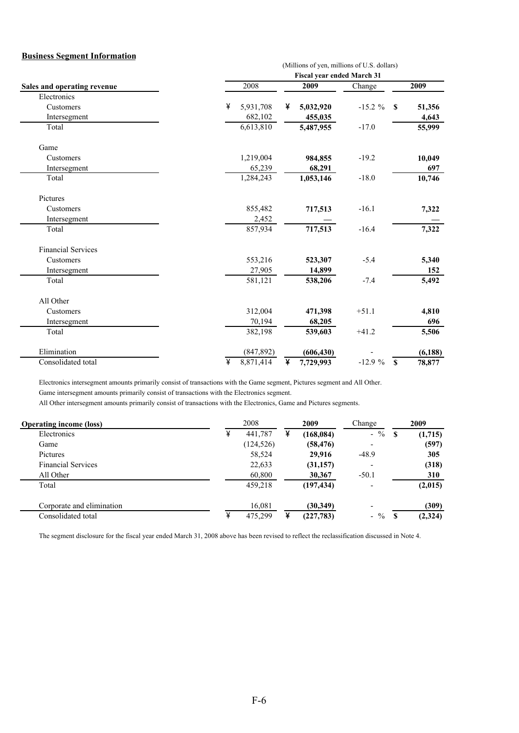#### **Business Segment Information**

|                             | (Millions of yen, millions of U.S. dollars) |                                   |            |                        |  |  |  |  |  |  |  |  |
|-----------------------------|---------------------------------------------|-----------------------------------|------------|------------------------|--|--|--|--|--|--|--|--|
|                             |                                             | <b>Fiscal year ended March 31</b> |            |                        |  |  |  |  |  |  |  |  |
| Sales and operating revenue | 2008                                        | 2009                              | Change     | 2009                   |  |  |  |  |  |  |  |  |
| Electronics                 |                                             |                                   |            |                        |  |  |  |  |  |  |  |  |
| Customers                   | ¥<br>5,931,708                              | 5,032,920<br>¥                    | $-15.2 \%$ | 51,356<br>$\mathbf{s}$ |  |  |  |  |  |  |  |  |
| Intersegment                | 682,102                                     | 455,035                           |            | 4,643                  |  |  |  |  |  |  |  |  |
| Total                       | 6,613,810                                   | 5,487,955                         | $-17.0$    | 55,999                 |  |  |  |  |  |  |  |  |
| Game                        |                                             |                                   |            |                        |  |  |  |  |  |  |  |  |
| Customers                   | 1,219,004                                   | 984,855                           | $-19.2$    | 10,049                 |  |  |  |  |  |  |  |  |
| Intersegment                | 65,239                                      | 68,291                            |            | 697                    |  |  |  |  |  |  |  |  |
| Total                       | 1,284,243                                   | 1,053,146                         | $-18.0$    | 10,746                 |  |  |  |  |  |  |  |  |
| Pictures                    |                                             |                                   |            |                        |  |  |  |  |  |  |  |  |
| Customers                   | 855,482                                     | 717,513                           | $-16.1$    | 7,322                  |  |  |  |  |  |  |  |  |
| Intersegment                | 2,452                                       |                                   |            |                        |  |  |  |  |  |  |  |  |
| Total                       | 857,934                                     | 717,513                           | $-16.4$    | 7,322                  |  |  |  |  |  |  |  |  |
| <b>Financial Services</b>   |                                             |                                   |            |                        |  |  |  |  |  |  |  |  |
| Customers                   | 553,216                                     | 523,307                           | $-5.4$     | 5,340                  |  |  |  |  |  |  |  |  |
| Intersegment                | 27,905                                      | 14,899                            |            | 152                    |  |  |  |  |  |  |  |  |
| Total                       | 581,121                                     | 538,206                           | $-7.4$     | 5,492                  |  |  |  |  |  |  |  |  |
| All Other                   |                                             |                                   |            |                        |  |  |  |  |  |  |  |  |
| Customers                   | 312,004                                     | 471,398                           | $+51.1$    | 4,810                  |  |  |  |  |  |  |  |  |
| Intersegment                | 70,194                                      | 68,205                            |            | 696                    |  |  |  |  |  |  |  |  |
| Total                       | 382,198                                     | 539,603                           | $+41.2$    | 5,506                  |  |  |  |  |  |  |  |  |
| Elimination                 | (847, 892)                                  | (606, 430)                        |            | (6, 188)               |  |  |  |  |  |  |  |  |
| Consolidated total          | ¥<br>8,871,414                              | ¥<br>7,729,993                    | $-12.9%$   | $\mathbf{s}$<br>78,877 |  |  |  |  |  |  |  |  |

Electronics intersegment amounts primarily consist of transactions with the Game segment, Pictures segment and All Other. Game intersegment amounts primarily consist of transactions with the Electronics segment.

All Other intersegment amounts primarily consist of transactions with the Electronics, Game and Pictures segments.

| <b>Operating income (loss)</b> |   | 2008       | 2009       | Change                   | 2009 |         |
|--------------------------------|---|------------|------------|--------------------------|------|---------|
| Electronics                    | ¥ | 441,787    | (168, 084) | $-$ %                    |      | (1,715) |
| Game                           |   | (124, 526) | (58, 476)  | ٠                        |      | (597)   |
| Pictures                       |   | 58,524     | 29,916     | $-48.9$                  |      | 305     |
| <b>Financial Services</b>      |   | 22,633     | (31, 157)  |                          |      | (318)   |
| All Other                      |   | 60,800     | 30,367     | $-50.1$                  |      | 310     |
| Total                          |   | 459.218    | (197, 434) |                          |      | (2,015) |
| Corporate and elimination      |   | 16,081     | (30,349)   | $\overline{\phantom{0}}$ |      | (309)   |
| Consolidated total             | ¥ | 475,299    | (227, 783) | $-$ %                    |      | (2,324) |

The segment disclosure for the fiscal year ended March 31, 2008 above has been revised to reflect the reclassification discussed in Note 4.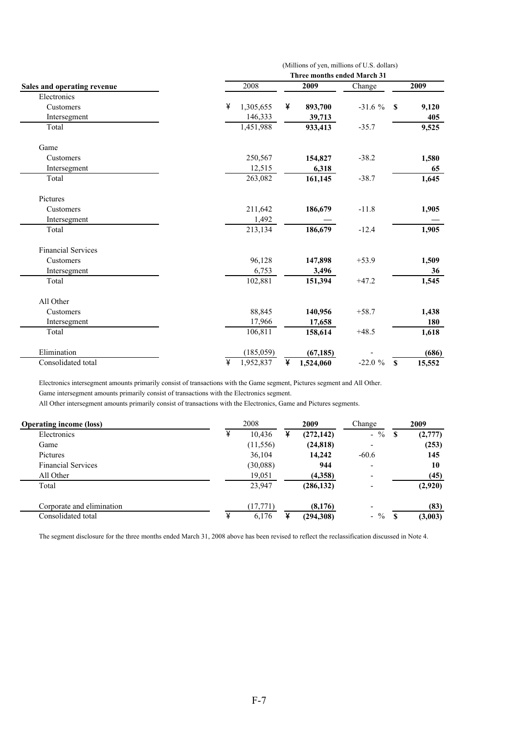|                             | Three months ended March 31          |                |          |                        |  |  |  |  |  |  |  |
|-----------------------------|--------------------------------------|----------------|----------|------------------------|--|--|--|--|--|--|--|
| Sales and operating revenue | 2008                                 | 2009           | Change   | 2009                   |  |  |  |  |  |  |  |
| Electronics                 |                                      |                |          |                        |  |  |  |  |  |  |  |
| Customers                   | ¥<br>1,305,655                       | ¥<br>893,700   | $-31.6%$ | $\mathbf{s}$<br>9,120  |  |  |  |  |  |  |  |
| Intersegment                | 146,333                              | 39,713         |          | 405                    |  |  |  |  |  |  |  |
| Total                       | 1,451,988                            | 933,413        | $-35.7$  | 9,525                  |  |  |  |  |  |  |  |
| Game                        |                                      |                |          |                        |  |  |  |  |  |  |  |
| Customers                   | 250,567                              | 154,827        | $-38.2$  | 1,580                  |  |  |  |  |  |  |  |
| Intersegment                | 12,515                               | 6,318          |          | 65                     |  |  |  |  |  |  |  |
| Total                       | 263,082                              | 161,145        | $-38.7$  | 1,645                  |  |  |  |  |  |  |  |
| Pictures                    |                                      |                |          |                        |  |  |  |  |  |  |  |
| Customers                   | 211,642                              | 186,679        | $-11.8$  | 1,905                  |  |  |  |  |  |  |  |
| Intersegment                | 1,492                                |                |          |                        |  |  |  |  |  |  |  |
| Total                       | 213,134                              | 186,679        | $-12.4$  | 1,905                  |  |  |  |  |  |  |  |
| <b>Financial Services</b>   |                                      |                |          |                        |  |  |  |  |  |  |  |
| Customers                   | 96,128                               | 147,898        | $+53.9$  | 1,509                  |  |  |  |  |  |  |  |
| Intersegment                | 6,753                                | 3,496          |          | 36                     |  |  |  |  |  |  |  |
| Total                       | 102,881                              | 151,394        | $+47.2$  | 1,545                  |  |  |  |  |  |  |  |
| All Other                   |                                      |                |          |                        |  |  |  |  |  |  |  |
| Customers                   | 88,845                               | 140,956        | $+58.7$  | 1,438                  |  |  |  |  |  |  |  |
| Intersegment                | 17,966                               | 17,658         |          | 180                    |  |  |  |  |  |  |  |
| Total                       | 106,811                              | 158,614        | $+48.5$  | 1,618                  |  |  |  |  |  |  |  |
| Elimination                 | (185, 059)                           | (67, 185)      |          | (686)                  |  |  |  |  |  |  |  |
| Consolidated total          | $\overline{\mathbf{r}}$<br>1,952,837 | ¥<br>1,524,060 | $-22.0%$ | $\mathbf{s}$<br>15,552 |  |  |  |  |  |  |  |

(Millions of yen, millions of U.S. dollars)

Electronics intersegment amounts primarily consist of transactions with the Game segment, Pictures segment and All Other. Game intersegment amounts primarily consist of transactions with the Electronics segment.

All Other intersegment amounts primarily consist of transactions with the Electronics, Game and Pictures segments.

| <b>Operating income (loss)</b> |   | 2008      | 2009       | Change                   | 2009 |         |
|--------------------------------|---|-----------|------------|--------------------------|------|---------|
| Electronics                    | ¥ | 10,436    | (272, 142) | $-$ %                    |      | (2,777) |
| Game                           |   | (11, 556) | (24, 818)  |                          |      | (253)   |
| Pictures                       |   | 36,104    | 14.242     | $-60.6$                  |      | 145     |
| <b>Financial Services</b>      |   | (30,088)  | 944        |                          |      | 10      |
| All Other                      |   | 19,051    | (4,358)    |                          |      | (45)    |
| Total                          |   | 23,947    | (286, 132) |                          |      | (2,920) |
| Corporate and elimination      |   | (17, 771) | (8,176)    | $\overline{\phantom{0}}$ |      | (83)    |
| Consolidated total             | ¥ | 6,176     | (294,308)  | $-$ %                    |      | (3,003) |

The segment disclosure for the three months ended March 31, 2008 above has been revised to reflect the reclassification discussed in Note 4.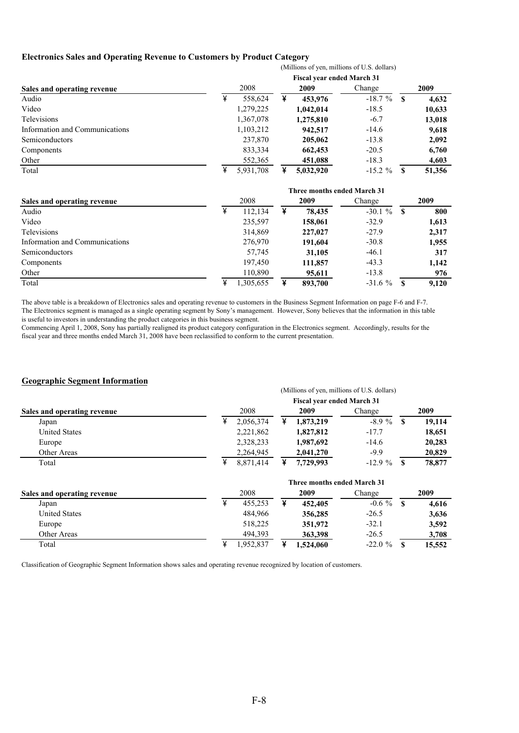#### **Electronics Sales and Operating Revenue to Customers by Product Category** (Millions of yen, millions of U.S. dollars)

|                                                                                                                                         |           | $($ of $\alpha$ is the set $\alpha$ is the set $\alpha$ in $\alpha$ . |            |      |        |  |  |  |  |  |  |  |  |
|-----------------------------------------------------------------------------------------------------------------------------------------|-----------|-----------------------------------------------------------------------|------------|------|--------|--|--|--|--|--|--|--|--|
|                                                                                                                                         |           | <b>Fiscal year ended March 31</b>                                     |            |      |        |  |  |  |  |  |  |  |  |
| Sales and operating revenue<br>Audio<br>Video<br>Televisions<br>Information and Communications<br>Semiconductors<br>Components<br>Other | 2008      | 2009                                                                  | Change     | 2009 |        |  |  |  |  |  |  |  |  |
|                                                                                                                                         | 558.624   | ¥<br>453,976                                                          | $-18.7%$   |      | 4,632  |  |  |  |  |  |  |  |  |
|                                                                                                                                         | 1,279,225 | 1,042,014                                                             | $-18.5$    |      | 10,633 |  |  |  |  |  |  |  |  |
|                                                                                                                                         | 1,367,078 | 1,275,810                                                             | $-6.7$     |      | 13,018 |  |  |  |  |  |  |  |  |
|                                                                                                                                         | 1,103,212 | 942,517                                                               | $-14.6$    |      | 9,618  |  |  |  |  |  |  |  |  |
|                                                                                                                                         | 237,870   | 205,062                                                               | $-13.8$    |      | 2,092  |  |  |  |  |  |  |  |  |
|                                                                                                                                         | 833,334   | 662,453                                                               | $-20.5$    |      | 6,760  |  |  |  |  |  |  |  |  |
|                                                                                                                                         | 552,365   | 451,088                                                               | $-18.3$    |      | 4,603  |  |  |  |  |  |  |  |  |
| Total                                                                                                                                   | 5.931.708 | 5,032,920                                                             | $-15.2 \%$ |      | 51,356 |  |  |  |  |  |  |  |  |

|                                | Three months ended March 31 |   |         |            |    |       |  |  |  |  |  |
|--------------------------------|-----------------------------|---|---------|------------|----|-------|--|--|--|--|--|
| Sales and operating revenue    | 2008                        |   | 2009    | Change     |    | 2009  |  |  |  |  |  |
| Audio                          | 112,134                     | ¥ | 78.435  | $-30.1 \%$ | -S | 800   |  |  |  |  |  |
| Video                          | 235,597                     |   | 158,061 | $-32.9$    |    | 1,613 |  |  |  |  |  |
| Televisions                    | 314,869                     |   | 227,027 | $-27.9$    |    | 2,317 |  |  |  |  |  |
| Information and Communications | 276,970                     |   | 191,604 | $-30.8$    |    | 1,955 |  |  |  |  |  |
| Semiconductors                 | 57,745                      |   | 31,105  | $-46.1$    |    | 317   |  |  |  |  |  |
| Components                     | 197,450                     |   | 111,857 | $-43.3$    |    | 1,142 |  |  |  |  |  |
| Other                          | 110,890                     |   | 95,611  | $-13.8$    |    | 976   |  |  |  |  |  |
| Total                          | 1,305,655                   | ¥ | 893,700 | $-31.6%$   |    | 9.120 |  |  |  |  |  |

The above table is a breakdown of Electronics sales and operating revenue to customers in the Business Segment Information on page F-6 and F-7. The Electronics segment is managed as a single operating segment by Sony's management. However, Sony believes that the information in this table is useful to investors in understanding the product categories in this business segment.

Commencing April 1, 2008, Sony has partially realigned its product category configuration in the Electronics segment. Accordingly, results for the fiscal year and three months ended March 31, 2008 have been reclassified to conform to the current presentation.

#### **Geographic Segment Information**

#### **Sales and operating revenue** Japan \ 2,056,374 \ **1,873,219** -8.9 % **\$ 19,114**  United States 2,221,862 **1,827,812** -17.7 **18,651**  Europe 2,328,233 **1,987,692** -14.6 **20,283**  Other Areas 2,264,945 **2,041,270** -9.9 **20,829**  Total **8,871,414 \ 7,729,993** -12.9 % \ **8** 78,877 Change **2009** (Millions of yen, millions of U.S. dollars) **Fiscal year ended March 31** 2008 **2009**

|                             | Three months ended March 31 |          |  |          |            |      |        |  |  |  |
|-----------------------------|-----------------------------|----------|--|----------|------------|------|--------|--|--|--|
| Sales and operating revenue |                             | 2008     |  | 2009     | Change     | 2009 |        |  |  |  |
| Japan                       |                             | 455.253  |  | 452,405  | $-0.6 \%$  |      | 4,616  |  |  |  |
| <b>United States</b>        |                             | 484.966  |  | 356,285  | $-26.5$    |      | 3,636  |  |  |  |
| Europe                      |                             | 518.225  |  | 351,972  | $-32.1$    |      | 3,592  |  |  |  |
| Other Areas                 |                             | 494.393  |  | 363,398  | $-26.5$    |      | 3,708  |  |  |  |
| Total                       |                             | .952.837 |  | .524.060 | $-22.0 \%$ |      | 15,552 |  |  |  |

Classification of Geographic Segment Information shows sales and operating revenue recognized by location of customers.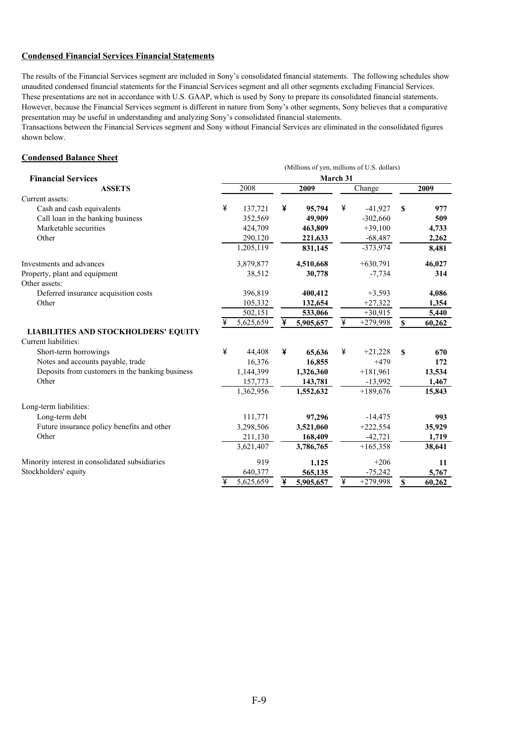#### **Condensed Financial Services Financial Statements**

The results of the Financial Services segment are included in Sony's consolidated financial statements. The following schedules show unaudited condensed financial statements for the Financial Services segment and all other segments excluding Financial Services. These presentations are not in accordance with U.S. GAAP, which is used by Sony to prepare its consolidated financial statements. However, because the Financial Services segment is different in nature from Sony's other segments, Sony believes that a comparative presentation may be useful in understanding and analyzing Sony's consolidated financial statements.

Transactions between the Financial Services segment and Sony without Financial Services are eliminated in the consolidated figures shown below.

#### **Condensed Balance Sheet**

|                                                 | (Millions of yen, millions of U.S. dollars) |           |      |           |          |            |                   |        |  |  |  |
|-------------------------------------------------|---------------------------------------------|-----------|------|-----------|----------|------------|-------------------|--------|--|--|--|
| <b>Financial Services</b>                       |                                             |           |      |           | March 31 |            |                   |        |  |  |  |
| <b>ASSETS</b>                                   |                                             | 2008      | 2009 |           |          | Change     |                   | 2009   |  |  |  |
| Current assets:                                 |                                             |           |      |           |          |            |                   |        |  |  |  |
| Cash and cash equivalents                       | ¥                                           | 137,721   | ¥    | 95,794    | ¥        | $-41,927$  | S                 | 977    |  |  |  |
| Call loan in the banking business               |                                             | 352,569   |      | 49,909    |          | $-302,660$ |                   | 509    |  |  |  |
| Marketable securities                           |                                             | 424,709   |      | 463,809   |          | $+39,100$  |                   | 4,733  |  |  |  |
| Other                                           |                                             | 290,120   |      | 221,633   |          | $-68,487$  |                   | 2,262  |  |  |  |
|                                                 |                                             | 1,205,119 |      | 831,145   |          | $-373,974$ |                   | 8,481  |  |  |  |
| Investments and advances                        |                                             | 3,879,877 |      | 4,510,668 |          | $+630,791$ |                   | 46,027 |  |  |  |
| Property, plant and equipment                   |                                             | 38,512    |      | 30,778    |          | $-7,734$   |                   | 314    |  |  |  |
| Other assets:                                   |                                             |           |      |           |          |            |                   |        |  |  |  |
| Deferred insurance acquisition costs            |                                             | 396,819   |      | 400,412   |          | $+3,593$   |                   | 4,086  |  |  |  |
| Other                                           |                                             | 105,332   |      | 132,654   |          | $+27,322$  |                   | 1,354  |  |  |  |
|                                                 |                                             | 502,151   |      | 533,066   |          | $+30,915$  |                   | 5,440  |  |  |  |
|                                                 | ¥                                           | 5,625,659 | ¥    | 5,905,657 | ¥        | $+279,998$ | $\boldsymbol{\$}$ | 60,262 |  |  |  |
| <b>LIABILITIES AND STOCKHOLDERS' EQUITY</b>     |                                             |           |      |           |          |            |                   |        |  |  |  |
| Current liabilities:                            |                                             |           |      |           |          |            |                   |        |  |  |  |
| Short-term borrowings                           | ¥                                           | 44,408    | ¥    | 65,636    | ¥        | $+21,228$  | \$                | 670    |  |  |  |
| Notes and accounts payable, trade               |                                             | 16,376    |      | 16,855    |          | $+479$     |                   | 172    |  |  |  |
| Deposits from customers in the banking business |                                             | 1,144,399 |      | 1,326,360 |          | $+181,961$ |                   | 13,534 |  |  |  |
| Other                                           |                                             | 157,773   |      | 143,781   |          | $-13,992$  |                   | 1,467  |  |  |  |
|                                                 |                                             | 1,362,956 |      | 1,552,632 |          | $+189,676$ |                   | 15,843 |  |  |  |
| Long-term liabilities:                          |                                             |           |      |           |          |            |                   |        |  |  |  |
| Long-term debt                                  |                                             | 111,771   |      | 97,296    |          | $-14,475$  |                   | 993    |  |  |  |
| Future insurance policy benefits and other      |                                             | 3,298,506 |      | 3,521,060 |          | $+222,554$ |                   | 35,929 |  |  |  |
| Other                                           |                                             | 211,130   |      | 168,409   |          | $-42,721$  |                   | 1,719  |  |  |  |
|                                                 |                                             | 3,621,407 |      | 3,786,765 |          | $+165,358$ |                   | 38,641 |  |  |  |
| Minority interest in consolidated subsidiaries  |                                             | 919       |      | 1,125     |          | $+206$     |                   | 11     |  |  |  |
| Stockholders' equity                            |                                             | 640,377   |      | 565,135   |          | $-75,242$  |                   | 5,767  |  |  |  |
|                                                 | ¥                                           | 5,625,659 | ¥    | 5,905,657 | ¥        | $+279,998$ | \$                | 60,262 |  |  |  |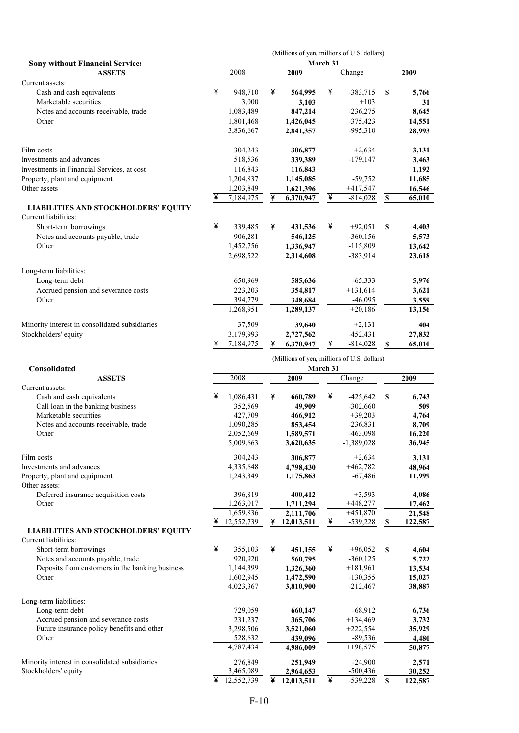|                                                              | (Millions of yen, millions of U.S. dollars)<br>March 31 |           |   |           |   |             |                    |        |  |  |  |  |  |
|--------------------------------------------------------------|---------------------------------------------------------|-----------|---|-----------|---|-------------|--------------------|--------|--|--|--|--|--|
| <b>Sony without Financial Services</b><br><b>ASSETS</b>      |                                                         | 2008      |   | 2009      |   | Change      |                    | 2009   |  |  |  |  |  |
| Current assets:                                              |                                                         |           |   |           |   |             |                    |        |  |  |  |  |  |
| Cash and cash equivalents                                    | ¥                                                       | 948,710   | ¥ | 564,995   | ¥ | $-383,715$  | S                  | 5,766  |  |  |  |  |  |
| Marketable securities                                        |                                                         | 3,000     |   | 3,103     |   | $+103$      |                    | 31     |  |  |  |  |  |
| Notes and accounts receivable, trade                         |                                                         | 1,083,489 |   | 847,214   |   | $-236,275$  |                    | 8,645  |  |  |  |  |  |
| Other                                                        |                                                         | 1,801,468 |   | 1,426,045 |   | $-375,423$  |                    | 14,551 |  |  |  |  |  |
|                                                              |                                                         | 3,836,667 |   | 2,841,357 |   | -995,310    |                    | 28,993 |  |  |  |  |  |
| Film costs                                                   |                                                         | 304,243   |   | 306,877   |   | $+2,634$    |                    | 3,131  |  |  |  |  |  |
| Investments and advances                                     |                                                         | 518,536   |   | 339,389   |   | $-179,147$  |                    | 3,463  |  |  |  |  |  |
| Investments in Financial Services, at cost                   |                                                         | 116,843   |   | 116,843   |   |             |                    | 1,192  |  |  |  |  |  |
| Property, plant and equipment                                |                                                         | 1,204,837 |   | 1,145,085 |   | $-59,752$   |                    | 11,685 |  |  |  |  |  |
| Other assets                                                 |                                                         | 1,203,849 |   | 1,621,396 |   | $+417,547$  |                    | 16,546 |  |  |  |  |  |
|                                                              | ¥                                                       | 7,184,975 | ¥ | 6,370,947 | ¥ | $-814,028$  | $\pmb{\mathbb{S}}$ | 65,010 |  |  |  |  |  |
| LIABILITIES AND STOCKHOLDERS' EQUITY<br>Current liabilities: |                                                         |           |   |           |   |             |                    |        |  |  |  |  |  |
| Short-term borrowings                                        | ¥                                                       | 339,485   | ¥ | 431,536   | ¥ | $+92,051$   | \$                 | 4,403  |  |  |  |  |  |
| Notes and accounts payable, trade                            |                                                         | 906,281   |   | 546,125   |   | $-360, 156$ |                    | 5,573  |  |  |  |  |  |
| Other                                                        |                                                         | 1,452,756 |   | 1,336,947 |   | $-115,809$  |                    | 13,642 |  |  |  |  |  |
|                                                              |                                                         | 2,698,522 |   | 2,314,608 |   | $-383.914$  |                    | 23,618 |  |  |  |  |  |
| Long-term liabilities:                                       |                                                         |           |   |           |   |             |                    |        |  |  |  |  |  |
| Long-term debt                                               |                                                         | 650,969   |   | 585,636   |   | $-65,333$   |                    | 5,976  |  |  |  |  |  |
| Accrued pension and severance costs                          |                                                         | 223,203   |   | 354,817   |   | $+131,614$  |                    | 3,621  |  |  |  |  |  |
| Other                                                        |                                                         | 394,779   |   | 348,684   |   | $-46,095$   |                    | 3,559  |  |  |  |  |  |
|                                                              |                                                         | 1,268,951 |   | 1,289,137 |   | $+20,186$   |                    | 13,156 |  |  |  |  |  |
| Minority interest in consolidated subsidiaries               |                                                         | 37,509    |   | 39,640    |   | $+2,131$    |                    | 404    |  |  |  |  |  |
| Stockholders' equity                                         |                                                         | 3,179,993 |   | 2,727,562 |   | $-452,431$  |                    | 27,832 |  |  |  |  |  |
|                                                              | ¥                                                       | 7,184,975 | ¥ | 6,370,947 | ¥ | $-814,028$  | $\boldsymbol{s}$   | 65,010 |  |  |  |  |  |
|                                                              | (Millions of yen, millions of U.S. dollars)             |           |   |           |   |             |                    |        |  |  |  |  |  |
| Consolidated                                                 |                                                         |           |   | March 31  |   |             |                    |        |  |  |  |  |  |
| <b>ASSETS</b>                                                |                                                         | 2008      |   | 2009      |   | Change      |                    | 2009   |  |  |  |  |  |
| Current assets:                                              |                                                         |           |   |           |   |             |                    |        |  |  |  |  |  |

| Current assets:                                                     |   |            |   |            |   |              |   |         |
|---------------------------------------------------------------------|---|------------|---|------------|---|--------------|---|---------|
| Cash and cash equivalents                                           | ¥ | 1,086,431  | ¥ | 660,789    | ¥ | $-425,642$   | S | 6,743   |
| Call loan in the banking business                                   |   | 352,569    |   | 49,909     |   | $-302,660$   |   | 509     |
| Marketable securities                                               |   | 427,709    |   | 466,912    |   | $+39,203$    |   | 4,764   |
| Notes and accounts receivable, trade                                |   | 1,090,285  |   | 853,454    |   | $-236,831$   |   | 8,709   |
| Other                                                               |   | 2,052,669  |   | 1,589,571  |   | $-463,098$   |   | 16,220  |
|                                                                     |   | 5,009,663  |   | 3,620,635  |   | $-1,389,028$ |   | 36,945  |
| Film costs                                                          |   | 304,243    |   | 306,877    |   | $+2,634$     |   | 3,131   |
| Investments and advances                                            |   | 4,335,648  |   | 4,798,430  |   | $+462,782$   |   | 48,964  |
| Property, plant and equipment                                       |   | 1,243,349  |   | 1,175,863  |   | $-67,486$    |   | 11,999  |
| Other assets:                                                       |   |            |   |            |   |              |   |         |
| Deferred insurance acquisition costs                                |   | 396,819    |   | 400,412    |   | $+3,593$     |   | 4,086   |
| Other                                                               |   | 1,263,017  |   | 1,711,294  |   | $+448,277$   |   | 17,462  |
|                                                                     |   | 1,659,836  |   | 2,111,706  |   | $+451,870$   |   | 21,548  |
|                                                                     | ¥ | 12,552,739 | ¥ | 12,013,511 | ¥ | $-539,228$   | S | 122,587 |
| <b>LIABILITIES AND STOCKHOLDERS' EQUITY</b><br>Current liabilities: |   |            |   |            |   |              |   |         |
| Short-term borrowings                                               | ¥ | 355,103    | ¥ | 451,155    | ¥ | $+96,052$    | S | 4,604   |
| Notes and accounts payable, trade                                   |   | 920,920    |   | 560,795    |   | $-360, 125$  |   | 5,722   |
| Deposits from customers in the banking business                     |   | 1,144,399  |   | 1,326,360  |   | $+181,961$   |   | 13,534  |
| Other                                                               |   | 1,602,945  |   | 1,472,590  |   | $-130,355$   |   | 15,027  |
|                                                                     |   | 4,023,367  |   | 3,810,900  |   | $-212,467$   |   | 38,887  |
| Long-term liabilities:                                              |   |            |   |            |   |              |   |         |
| Long-term debt                                                      |   | 729,059    |   | 660,147    |   | $-68,912$    |   | 6,736   |
| Accrued pension and severance costs                                 |   | 231,237    |   | 365,706    |   | $+134,469$   |   | 3,732   |
| Future insurance policy benefits and other                          |   | 3,298,506  |   | 3,521,060  |   | $+222,554$   |   | 35,929  |
| Other                                                               |   | 528,632    |   | 439,096    |   | $-89,536$    |   | 4,480   |
|                                                                     |   | 4,787,434  |   | 4,986,009  |   | $+198,575$   |   | 50,877  |
| Minority interest in consolidated subsidiaries                      |   | 276,849    |   | 251,949    |   | $-24,900$    |   | 2,571   |
| Stockholders' equity                                                |   | 3,465,089  |   | 2,964,653  |   | $-500,436$   |   | 30,252  |

\ 12,552,739 \ **12,013,511** \ -539,228 **\$ 122,587**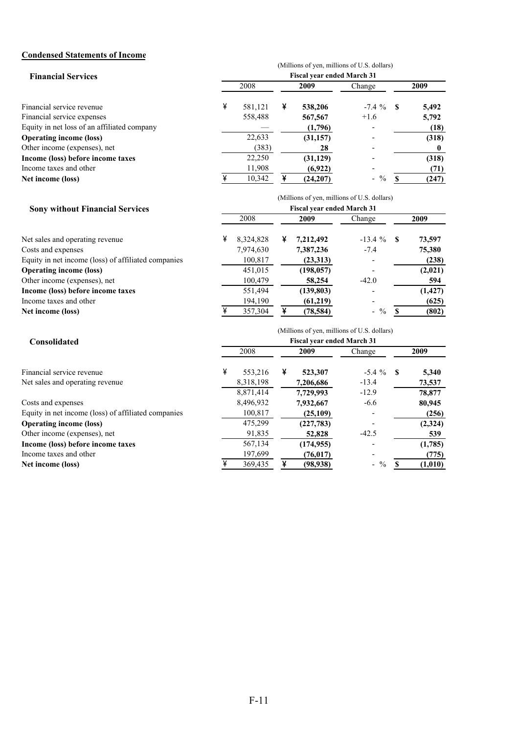### **Condensed Statements of Income**

|                                             | (Millions of yen, millions of U.S. dollars)<br><b>Fiscal year ended March 31</b> |         |      |           |              |      |       |  |  |  |
|---------------------------------------------|----------------------------------------------------------------------------------|---------|------|-----------|--------------|------|-------|--|--|--|
| <b>Financial Services</b>                   |                                                                                  |         |      |           |              |      |       |  |  |  |
|                                             | 2008                                                                             |         | 2009 |           | Change       | 2009 |       |  |  |  |
| Financial service revenue                   | ¥                                                                                | 581,121 | ¥    | 538,206   | $-7.4 \%$ \$ |      | 5,492 |  |  |  |
| Financial service expenses                  |                                                                                  | 558,488 |      | 567,567   | $+1.6$       |      | 5,792 |  |  |  |
| Equity in net loss of an affiliated company |                                                                                  |         |      | (1,796)   |              |      | (18)  |  |  |  |
| <b>Operating income (loss)</b>              |                                                                                  | 22,633  |      | (31, 157) |              |      | (318) |  |  |  |
| Other income (expenses), net                |                                                                                  | (383)   |      | 28        |              |      |       |  |  |  |
| Income (loss) before income taxes           |                                                                                  | 22,250  |      | (31, 129) |              |      | (318) |  |  |  |
| Income taxes and other                      |                                                                                  | 11,908  |      | (6,922)   |              |      | (71)  |  |  |  |
| Net income (loss)                           |                                                                                  | 10,342  |      | (24, 207) | $-$ %        |      | (247) |  |  |  |

(Millions of yen, millions of U.S. dollars)

#### **Sony without Financial Services**

| <b>Sony without Financial Services</b>              | <b>Fiscal year ended March 31</b> |           |   |            |               |  |          |  |  |  |
|-----------------------------------------------------|-----------------------------------|-----------|---|------------|---------------|--|----------|--|--|--|
|                                                     |                                   | 2008      |   | 2009       | Change        |  | 2009     |  |  |  |
| Net sales and operating revenue.                    | ¥                                 | 8,324,828 | ¥ | 7,212,492  | $-13.4 \%$ \$ |  | 73,597   |  |  |  |
| Costs and expenses                                  |                                   | 7,974,630 |   | 7,387,236  | $-7.4$        |  | 75,380   |  |  |  |
| Equity in net income (loss) of affiliated companies |                                   | 100,817   |   | (23,313)   |               |  | (238)    |  |  |  |
| <b>Operating income (loss)</b>                      |                                   | 451,015   |   | (198, 057) |               |  | (2,021)  |  |  |  |
| Other income (expenses), net                        |                                   | 100,479   |   | 58,254     | $-42.0$       |  | 594      |  |  |  |
| Income (loss) before income taxes                   |                                   | 551,494   |   | (139,803)  |               |  | (1, 427) |  |  |  |
| Income taxes and other                              |                                   | 194,190   |   | (61,219)   |               |  | (625)    |  |  |  |
| Net income (loss)                                   |                                   | 357,304   | ¥ | (78, 584)  | $-$ %         |  | (802)    |  |  |  |

| Consolidated                                        | (Millions of yen, millions of U.S. dollars)<br><b>Fiscal year ended March 31</b> |           |   |            |              |  |         |  |  |  |
|-----------------------------------------------------|----------------------------------------------------------------------------------|-----------|---|------------|--------------|--|---------|--|--|--|
|                                                     |                                                                                  | 2008      |   | 2009       | Change       |  | 2009    |  |  |  |
| Financial service revenue                           | ¥                                                                                | 553,216   | ¥ | 523,307    | $-5.4 \%$ \$ |  | 5,340   |  |  |  |
| Net sales and operating revenue.                    |                                                                                  | 8,318,198 |   | 7,206,686  | $-13.4$      |  | 73,537  |  |  |  |
|                                                     |                                                                                  | 8,871,414 |   | 7.729.993  | $-12.9$      |  | 78,877  |  |  |  |
| Costs and expenses                                  |                                                                                  | 8,496,932 |   | 7,932,667  | $-6.6$       |  | 80,945  |  |  |  |
| Equity in net income (loss) of affiliated companies |                                                                                  | 100,817   |   | (25,109)   |              |  | (256)   |  |  |  |
| <b>Operating income (loss)</b>                      |                                                                                  | 475,299   |   | (227,783)  |              |  | (2,324) |  |  |  |
| Other income (expenses), net                        |                                                                                  | 91,835    |   | 52,828     | $-42.5$      |  | 539     |  |  |  |
| Income (loss) before income taxes                   |                                                                                  | 567,134   |   | (174, 955) |              |  | (1,785) |  |  |  |
| Income taxes and other                              |                                                                                  | 197,699   |   | (76, 017)  |              |  | (775)   |  |  |  |
| Net income (loss)                                   |                                                                                  | 369,435   | ¥ | (98, 938)  | $-$ %        |  | (1,010) |  |  |  |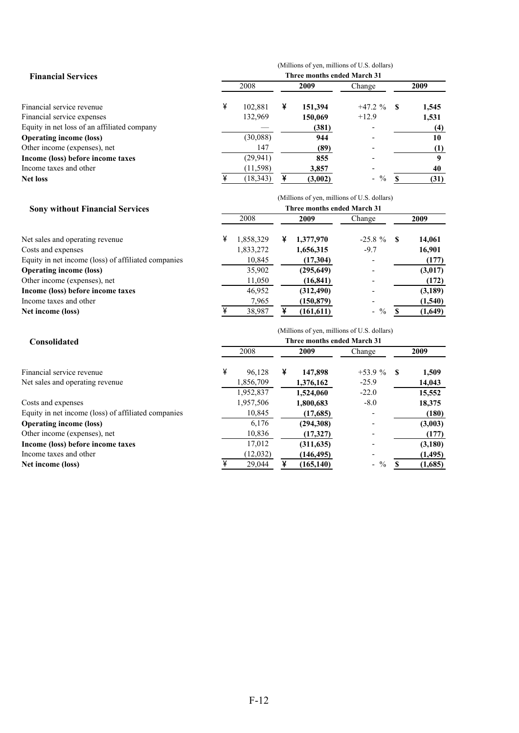|                                             | (Millions of yen, millions of U.S. dollars)<br>Three months ended March 31 |           |      |         |            |      |       |  |  |  |
|---------------------------------------------|----------------------------------------------------------------------------|-----------|------|---------|------------|------|-------|--|--|--|
| <b>Financial Services</b>                   |                                                                            |           |      |         |            |      |       |  |  |  |
|                                             | 2008                                                                       |           | 2009 |         | Change     |      | 2009  |  |  |  |
| Financial service revenue                   | ¥                                                                          | 102.881   | ¥    | 151,394 | $+47.2%$   | - \$ | 1,545 |  |  |  |
| Financial service expenses                  |                                                                            | 132,969   |      | 150,069 | $+12.9$    |      | 1,531 |  |  |  |
| Equity in net loss of an affiliated company |                                                                            |           |      | (381)   |            |      | (4)   |  |  |  |
| <b>Operating income (loss)</b>              |                                                                            | (30,088)  |      | 944     |            |      | 10    |  |  |  |
| Other income (expenses), net                |                                                                            | 147       |      | (89)    |            |      |       |  |  |  |
| Income (loss) before income taxes           |                                                                            | (29, 941) |      | 855     |            |      |       |  |  |  |
| Income taxes and other                      |                                                                            | (11, 598) |      | 3,857   |            |      | 40    |  |  |  |
| Net loss                                    |                                                                            | (18, 343) | ¥    | (3,002) | $\%$<br>Ξ. |      | (31)  |  |  |  |

#### **Sony without Financial Services**

| Net sales and operating revenue                     |
|-----------------------------------------------------|
| Costs and expenses                                  |
| Equity in net income (loss) of affiliated companies |
| <b>Operating income (loss)</b>                      |
| Other income (expenses), net                        |
| Income (loss) before income taxes                   |
| Income taxes and other                              |
| Net income (loss)                                   |

|                                                     | (Millions of yen, millions of U.S. dollars)<br>Three months ended March 31 |           |   |            |               |      |         |  |  |  |  |
|-----------------------------------------------------|----------------------------------------------------------------------------|-----------|---|------------|---------------|------|---------|--|--|--|--|
| <b>Sony without Financial Services</b>              |                                                                            |           |   |            |               |      |         |  |  |  |  |
|                                                     | 2008                                                                       |           |   | 2009       | Change        | 2009 |         |  |  |  |  |
| Net sales and operating revenue                     | ¥                                                                          | 1,858,329 | ¥ | 1,377,970  | $-25.8 \%$ \$ |      | 14,061  |  |  |  |  |
| Costs and expenses                                  |                                                                            | 1,833,272 |   | 1,656,315  | $-9.7$        |      | 16,901  |  |  |  |  |
| Equity in net income (loss) of affiliated companies |                                                                            | 10,845    |   | (17,304)   |               |      | (177)   |  |  |  |  |
| <b>Operating income (loss)</b>                      |                                                                            | 35,902    |   | (295, 649) |               |      | (3,017) |  |  |  |  |
| Other income (expenses), net                        |                                                                            | 11,050    |   | (16, 841)  |               |      | (172)   |  |  |  |  |
| Income (loss) before income taxes                   |                                                                            | 46,952    |   | (312, 490) |               |      | (3,189) |  |  |  |  |
| Income taxes and other                              |                                                                            | 7,965     |   | (150, 879) |               |      | (1,540) |  |  |  |  |
| Net income (loss)                                   |                                                                            | 38,987    |   | (161, 611) | $-$ %         |      | (1,649) |  |  |  |  |

| Consolidated                                        | (Millions of yen, millions of U.S. dollars)<br>Three months ended March 31 |           |   |            |                                  |      |          |  |  |  |
|-----------------------------------------------------|----------------------------------------------------------------------------|-----------|---|------------|----------------------------------|------|----------|--|--|--|
|                                                     | 2008                                                                       |           |   | 2009       | Change                           | 2009 |          |  |  |  |
| Financial service revenue                           | ¥                                                                          | 96.128    | ¥ | 147,898    | $+53.9%$                         | - \$ | 1,509    |  |  |  |
| Net sales and operating revenue                     |                                                                            | 1,856,709 |   | 1,376,162  | $-25.9$                          |      | 14,043   |  |  |  |
|                                                     |                                                                            | 1,952,837 |   | 1.524,060  | $-22.0$                          |      | 15,552   |  |  |  |
| Costs and expenses                                  |                                                                            | 1,957,506 |   | 1,800,683  | $-8.0$                           |      | 18,375   |  |  |  |
| Equity in net income (loss) of affiliated companies |                                                                            | 10,845    |   | (17,685)   |                                  |      | (180)    |  |  |  |
| <b>Operating income (loss)</b>                      |                                                                            | 6.176     |   | (294, 308) |                                  |      | (3,003)  |  |  |  |
| Other income (expenses), net                        |                                                                            | 10,836    |   | (17,327)   |                                  |      | (177)    |  |  |  |
| Income (loss) before income taxes                   |                                                                            | 17,012    |   | (311, 635) |                                  |      | (3,180)  |  |  |  |
| Income taxes and other                              |                                                                            | (12,032)  |   | (146, 495) |                                  |      | (1, 495) |  |  |  |
| Net income (loss)                                   |                                                                            | 29,044    | ¥ | (165, 140) | $\%$<br>$\overline{\phantom{0}}$ |      | (1,685)  |  |  |  |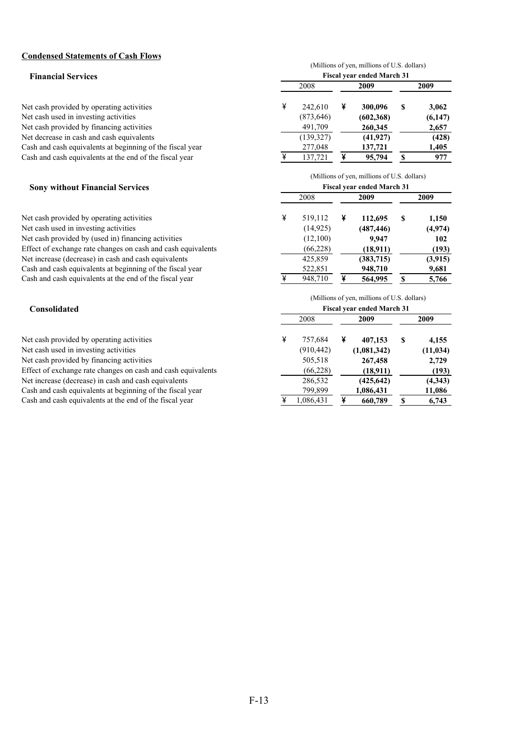#### **Condensed Statements of Cash Flows**

| (Millions of yen, millions of U.S. dollars) |            |   |            |   |                                   |  |  |  |  |
|---------------------------------------------|------------|---|------------|---|-----------------------------------|--|--|--|--|
|                                             |            |   |            |   |                                   |  |  |  |  |
|                                             | 2008       |   | 2009       |   | 2009                              |  |  |  |  |
| ¥                                           | 242.610    | ¥ | 300,096    | S | 3,062                             |  |  |  |  |
|                                             | (873, 646) |   | (602, 368) |   | (6,147)                           |  |  |  |  |
|                                             | 491,709    |   | 260,345    |   | 2,657                             |  |  |  |  |
|                                             | (139, 327) |   | (41, 927)  |   | (428)                             |  |  |  |  |
|                                             | 277,048    |   | 137,721    |   | 1,405                             |  |  |  |  |
|                                             | 137,721    |   | 95,794     |   | 977                               |  |  |  |  |
|                                             |            |   |            |   | <b>Fiscal year ended March 31</b> |  |  |  |  |

|                                                              | (Millions of yen, millions of U.S. dollars) |           |   |                                             |    |         |  |  |  |  |
|--------------------------------------------------------------|---------------------------------------------|-----------|---|---------------------------------------------|----|---------|--|--|--|--|
| <b>Sony without Financial Services</b>                       |                                             |           |   | <b>Fiscal year ended March 31</b>           |    |         |  |  |  |  |
|                                                              |                                             | 2008      |   | 2009                                        |    | 2009    |  |  |  |  |
| Net cash provided by operating activities                    | ¥                                           | 519.112   | ¥ | 112,695                                     | S  | 1,150   |  |  |  |  |
| Net cash used in investing activities                        |                                             | (14, 925) |   | (487, 446)                                  |    | (4,974) |  |  |  |  |
| Net cash provided by (used in) financing activities          |                                             | (12,100)  |   | 9.947                                       |    | 102     |  |  |  |  |
| Effect of exchange rate changes on cash and cash equivalents |                                             | (66, 228) |   | (18,911)                                    |    | (193)   |  |  |  |  |
| Net increase (decrease) in cash and cash equivalents         |                                             | 425,859   |   | (383,715)                                   |    | (3,915) |  |  |  |  |
| Cash and cash equivalents at beginning of the fiscal year    |                                             | 522,851   |   | 948,710                                     |    | 9,681   |  |  |  |  |
| Cash and cash equivalents at the end of the fiscal year      |                                             | 948,710   |   | 564,995                                     | \$ | 5,766   |  |  |  |  |
|                                                              |                                             |           |   | (Millions of yen, millions of U.S. dollars) |    |         |  |  |  |  |
| Consolidated                                                 |                                             |           |   | <b>Fiscal year ended March 31</b>           |    |         |  |  |  |  |
|                                                              |                                             | 2008      |   | 2009                                        |    | 2009    |  |  |  |  |

| Net cash provided by operating activities                    | 757.684    | 407.153     | 4,155     |
|--------------------------------------------------------------|------------|-------------|-----------|
| Net cash used in investing activities                        | (910, 442) | (1,081,342) | (11, 034) |
| Net cash provided by financing activities                    | 505,518    | 267,458     | 2,729     |
| Effect of exchange rate changes on cash and cash equivalents | (66, 228)  | (18,911)    | (193)     |
| Net increase (decrease) in cash and cash equivalents         | 286,532    | (425, 642)  | (4,343)   |
| Cash and cash equivalents at beginning of the fiscal year    | 799.899    | 1,086,431   | 11,086    |
| Cash and cash equivalents at the end of the fiscal year      | .086,431   | 660,789     | 6,743     |

|      |            |   | (Millions of yen, millions of U.S. dollars)<br><b>Fiscal year ended March 31</b> |      |           |  |  |  |
|------|------------|---|----------------------------------------------------------------------------------|------|-----------|--|--|--|
| 2008 |            |   | 2009                                                                             | 2009 |           |  |  |  |
| ¥    | 757,684    | ¥ | 407,153                                                                          | S    | 4,155     |  |  |  |
|      | (910, 442) |   | (1,081,342)                                                                      |      | (11, 034) |  |  |  |
|      | 505,518    |   | 267,458                                                                          |      | 2,729     |  |  |  |
|      | (66, 228)  |   | (18,911)                                                                         |      | (193)     |  |  |  |
|      | 286,532    |   | (425, 642)                                                                       |      | (4,343)   |  |  |  |
|      | 799,899    |   | 1,086,431                                                                        |      | 11,086    |  |  |  |
| ¥    | 1,086,431  |   | 660,789                                                                          |      | 6,743     |  |  |  |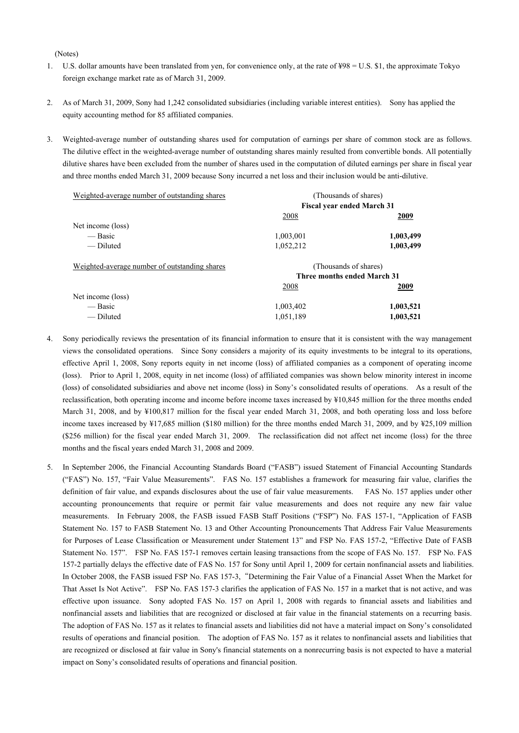(Notes)

- 1. U.S. dollar amounts have been translated from yen, for convenience only, at the rate of ¥98 = U.S. \$1, the approximate Tokyo foreign exchange market rate as of March 31, 2009.
- 2. As of March 31, 2009, Sony had 1,242 consolidated subsidiaries (including variable interest entities). Sony has applied the equity accounting method for 85 affiliated companies.
- 3. Weighted-average number of outstanding shares used for computation of earnings per share of common stock are as follows. The dilutive effect in the weighted-average number of outstanding shares mainly resulted from convertible bonds. All potentially dilutive shares have been excluded from the number of shares used in the computation of diluted earnings per share in fiscal year and three months ended March 31, 2009 because Sony incurred a net loss and their inclusion would be anti-dilutive.

| Weighted-average number of outstanding shares |                             | (Thousands of shares)             |  |  |  |  |
|-----------------------------------------------|-----------------------------|-----------------------------------|--|--|--|--|
|                                               |                             | <b>Fiscal year ended March 31</b> |  |  |  |  |
|                                               | 2008                        | 2009                              |  |  |  |  |
| Net income (loss)                             |                             |                                   |  |  |  |  |
| — Basic                                       | 1,003,001                   | 1,003,499                         |  |  |  |  |
| — Diluted                                     | 1,052,212                   | 1,003,499                         |  |  |  |  |
| Weighted-average number of outstanding shares |                             | (Thousands of shares)             |  |  |  |  |
|                                               | Three months ended March 31 |                                   |  |  |  |  |
|                                               | 2008                        | 2009                              |  |  |  |  |
| Net income (loss)                             |                             |                                   |  |  |  |  |
| — Basic                                       | 1,003,402                   | 1,003,521                         |  |  |  |  |
| — Diluted                                     | 1,051,189                   | 1,003,521                         |  |  |  |  |

- 4. Sony periodically reviews the presentation of its financial information to ensure that it is consistent with the way management views the consolidated operations. Since Sony considers a majority of its equity investments to be integral to its operations, effective April 1, 2008, Sony reports equity in net income (loss) of affiliated companies as a component of operating income (loss). Prior to April 1, 2008, equity in net income (loss) of affiliated companies was shown below minority interest in income (loss) of consolidated subsidiaries and above net income (loss) in Sony's consolidated results of operations. As a result of the reclassification, both operating income and income before income taxes increased by ¥10,845 million for the three months ended March 31, 2008, and by ¥100,817 million for the fiscal year ended March 31, 2008, and both operating loss and loss before income taxes increased by ¥17,685 million (\$180 million) for the three months ended March 31, 2009, and by ¥25,109 million (\$256 million) for the fiscal year ended March 31, 2009. The reclassification did not affect net income (loss) for the three months and the fiscal years ended March 31, 2008 and 2009.
- 5. In September 2006, the Financial Accounting Standards Board ("FASB") issued Statement of Financial Accounting Standards ("FAS") No. 157, "Fair Value Measurements". FAS No. 157 establishes a framework for measuring fair value, clarifies the definition of fair value, and expands disclosures about the use of fair value measurements. FAS No. 157 applies under other accounting pronouncements that require or permit fair value measurements and does not require any new fair value measurements. In February 2008, the FASB issued FASB Staff Positions ("FSP") No. FAS 157-1, "Application of FASB Statement No. 157 to FASB Statement No. 13 and Other Accounting Pronouncements That Address Fair Value Measurements for Purposes of Lease Classification or Measurement under Statement 13" and FSP No. FAS 157-2, "Effective Date of FASB Statement No. 157". FSP No. FAS 157-1 removes certain leasing transactions from the scope of FAS No. 157. FSP No. FAS 157-2 partially delays the effective date of FAS No. 157 for Sony until April 1, 2009 for certain nonfinancial assets and liabilities. In October 2008, the FASB issued FSP No. FAS 157-3, "Determining the Fair Value of a Financial Asset When the Market for That Asset Is Not Active". FSP No. FAS 157-3 clarifies the application of FAS No. 157 in a market that is not active, and was effective upon issuance. Sony adopted FAS No. 157 on April 1, 2008 with regards to financial assets and liabilities and nonfinancial assets and liabilities that are recognized or disclosed at fair value in the financial statements on a recurring basis. The adoption of FAS No. 157 as it relates to financial assets and liabilities did not have a material impact on Sony's consolidated results of operations and financial position. The adoption of FAS No. 157 as it relates to nonfinancial assets and liabilities that are recognized or disclosed at fair value in Sony's financial statements on a nonrecurring basis is not expected to have a material impact on Sony's consolidated results of operations and financial position.